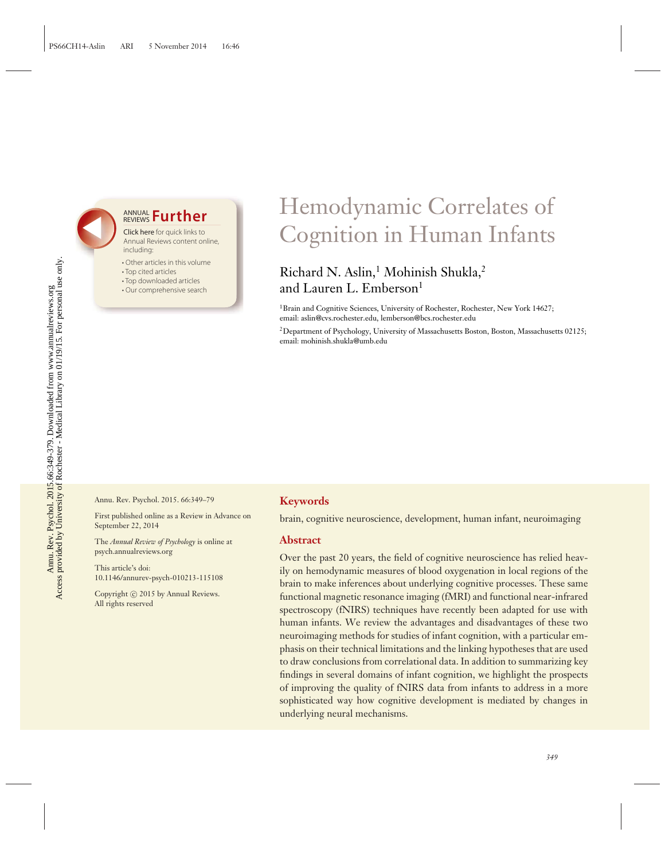# **ANNUAL Further**

Click here for quick links to Annual Reviews content online, including:

- Other articles in this volume
- Top cited articles
- Top downloaded articles
- Our comprehensive search

# Hemodynamic Correlates of Cognition in Human Infants

# Richard N. Aslin,<sup>1</sup> Mohinish Shukla,<sup>2</sup> and Lauren L. Emberson<sup>1</sup>

<sup>1</sup>Brain and Cognitive Sciences, University of Rochester, Rochester, New York 14627; email: aslin@cvs.rochester.edu, lemberson@bcs.rochester.edu

2Department of Psychology, University of Massachusetts Boston, Boston, Massachusetts 02125; email: mohinish.shukla@umb.edu

Annu. Rev. Psychol. 2015. 66:349–79

First published online as a Review in Advance on September 22, 2014

The *Annual Review of Psychology* is online at psych.annualreviews.org

This article's doi: 10.1146/annurev-psych-010213-115108

Copyright © 2015 by Annual Reviews. All rights reserved

### **Keywords**

brain, cognitive neuroscience, development, human infant, neuroimaging

# **Abstract**

Over the past 20 years, the field of cognitive neuroscience has relied heavily on hemodynamic measures of blood oxygenation in local regions of the brain to make inferences about underlying cognitive processes. These same functional magnetic resonance imaging (fMRI) and functional near-infrared spectroscopy (fNIRS) techniques have recently been adapted for use with human infants. We review the advantages and disadvantages of these two neuroimaging methods for studies of infant cognition, with a particular emphasis on their technical limitations and the linking hypotheses that are used to draw conclusions from correlational data. In addition to summarizing key findings in several domains of infant cognition, we highlight the prospects of improving the quality of fNIRS data from infants to address in a more sophisticated way how cognitive development is mediated by changes in underlying neural mechanisms.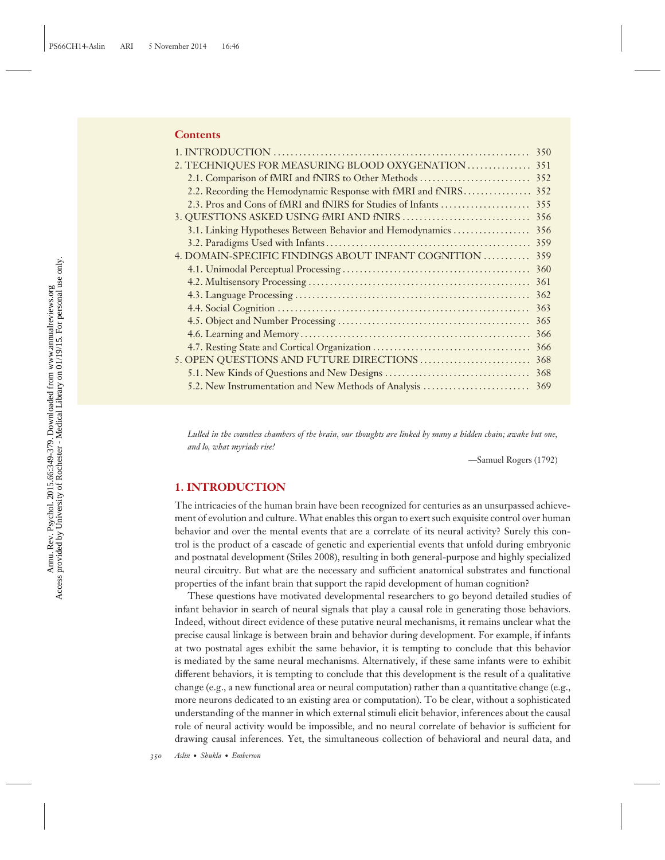# **Contents**

|                                                             | 350 |
|-------------------------------------------------------------|-----|
| 2. TECHNIQUES FOR MEASURING BLOOD OXYGENATION               | 351 |
| 2.1. Comparison of fMRI and fNIRS to Other Methods          | 352 |
| 2.2. Recording the Hemodynamic Response with fMRI and fNIRS | 352 |
| 2.3. Pros and Cons of fMRI and fNIRS for Studies of Infants | 355 |
| 3. QUESTIONS ASKED USING fMRI AND fNIRS                     | 356 |
| 3.1. Linking Hypotheses Between Behavior and Hemodynamics   | 356 |
|                                                             | 359 |
| 4. DOMAIN-SPECIFIC FINDINGS ABOUT INFANT COGNITION          | 359 |
|                                                             | 360 |
|                                                             | 361 |
|                                                             | 362 |
|                                                             | 363 |
|                                                             | 365 |
|                                                             | 366 |
|                                                             | 366 |
| 5. OPEN QUESTIONS AND FUTURE DIRECTIONS                     | 368 |
|                                                             | 368 |
| 5.2. New Instrumentation and New Methods of Analysis        | 369 |
|                                                             |     |

*Lulled in the countless chambers of the brain, our thoughts are linked by many a hidden chain; awake but one, and lo, what myriads rise!*

—Samuel Rogers (1792)

# **1. INTRODUCTION**

The intricacies of the human brain have been recognized for centuries as an unsurpassed achievement of evolution and culture. What enables this organ to exert such exquisite control over human behavior and over the mental events that are a correlate of its neural activity? Surely this control is the product of a cascade of genetic and experiential events that unfold during embryonic and postnatal development (Stiles 2008), resulting in both general-purpose and highly specialized neural circuitry. But what are the necessary and sufficient anatomical substrates and functional properties of the infant brain that support the rapid development of human cognition?

These questions have motivated developmental researchers to go beyond detailed studies of infant behavior in search of neural signals that play a causal role in generating those behaviors. Indeed, without direct evidence of these putative neural mechanisms, it remains unclear what the precise causal linkage is between brain and behavior during development. For example, if infants at two postnatal ages exhibit the same behavior, it is tempting to conclude that this behavior is mediated by the same neural mechanisms. Alternatively, if these same infants were to exhibit different behaviors, it is tempting to conclude that this development is the result of a qualitative change (e.g., a new functional area or neural computation) rather than a quantitative change (e.g., more neurons dedicated to an existing area or computation). To be clear, without a sophisticated understanding of the manner in which external stimuli elicit behavior, inferences about the causal role of neural activity would be impossible, and no neural correlate of behavior is sufficient for drawing causal inferences. Yet, the simultaneous collection of behavioral and neural data, and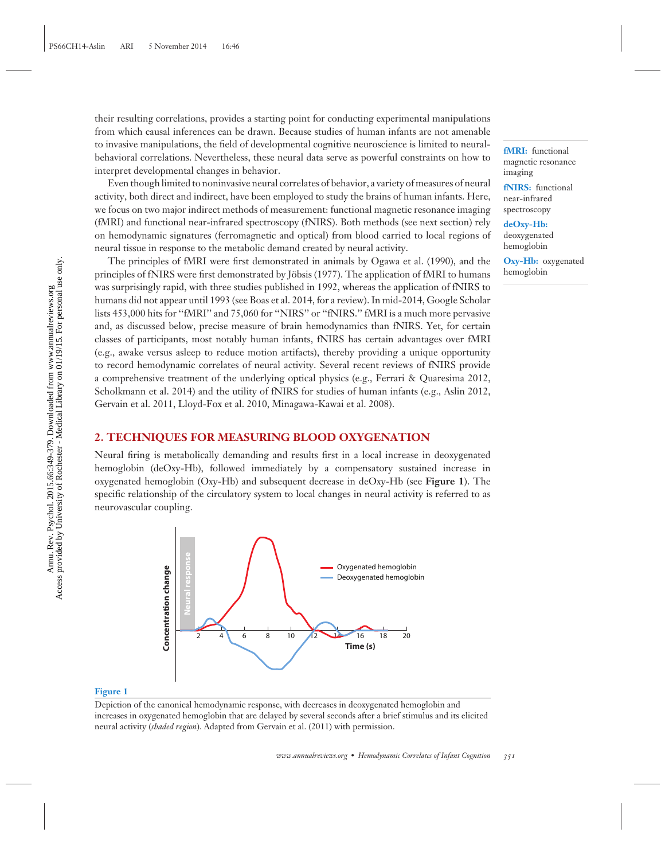their resulting correlations, provides a starting point for conducting experimental manipulations from which causal inferences can be drawn. Because studies of human infants are not amenable to invasive manipulations, the field of developmental cognitive neuroscience is limited to neuralbehavioral correlations. Nevertheless, these neural data serve as powerful constraints on how to interpret developmental changes in behavior.

Even though limited to noninvasive neural correlates of behavior, a variety of measures of neural activity, both direct and indirect, have been employed to study the brains of human infants. Here, we focus on two major indirect methods of measurement: functional magnetic resonance imaging (fMRI) and functional near-infrared spectroscopy (fNIRS). Both methods (see next section) rely on hemodynamic signatures (ferromagnetic and optical) from blood carried to local regions of neural tissue in response to the metabolic demand created by neural activity.

The principles of fMRI were first demonstrated in animals by Ogawa et al. (1990), and the principles of fNIRS were first demonstrated by Jöbsis (1977). The application of fMRI to humans was surprisingly rapid, with three studies published in 1992, whereas the application of fNIRS to humans did not appear until 1993 (see Boas et al. 2014, for a review). In mid-2014, Google Scholar lists 453,000 hits for ''fMRI'' and 75,060 for ''NIRS'' or ''fNIRS.'' fMRI is a much more pervasive and, as discussed below, precise measure of brain hemodynamics than fNIRS. Yet, for certain classes of participants, most notably human infants, fNIRS has certain advantages over fMRI (e.g., awake versus asleep to reduce motion artifacts), thereby providing a unique opportunity to record hemodynamic correlates of neural activity. Several recent reviews of fNIRS provide a comprehensive treatment of the underlying optical physics (e.g., Ferrari & Quaresima 2012, Scholkmann et al. 2014) and the utility of fNIRS for studies of human infants (e.g., Aslin 2012, Gervain et al. 2011, Lloyd-Fox et al. 2010, Minagawa-Kawai et al. 2008).

### **2. TECHNIQUES FOR MEASURING BLOOD OXYGENATION**

Neural firing is metabolically demanding and results first in a local increase in deoxygenated hemoglobin (deOxy-Hb), followed immediately by a compensatory sustained increase in oxygenated hemoglobin (Oxy-Hb) and subsequent decrease in deOxy-Hb (see **Figure 1**). The specific relationship of the circulatory system to local changes in neural activity is referred to as neurovascular coupling.



#### **Figure 1**

Depiction of the canonical hemodynamic response, with decreases in deoxygenated hemoglobin and increases in oxygenated hemoglobin that are delayed by several seconds after a brief stimulus and its elicited neural activity (*shaded region*). Adapted from Gervain et al. (2011) with permission.

**fMRI:** functional magnetic resonance imaging

**fNIRS:** functional near-infrared spectroscopy

**deOxy-Hb:** deoxygenated hemoglobin

**Oxy-Hb:** oxygenated hemoglobin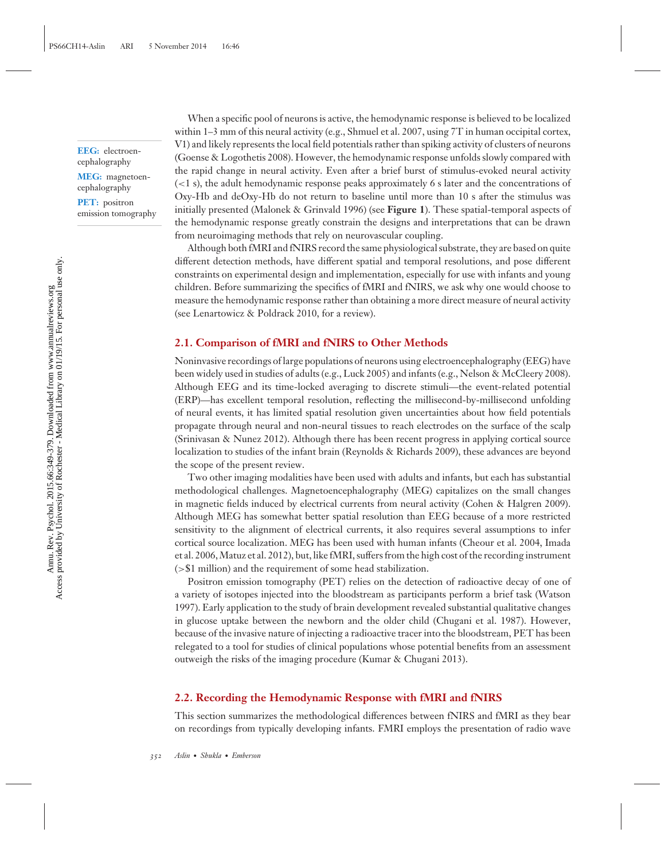**EEG:** electroencephalography **MEG:** magnetoencephalography **PET:** positron emission tomography

When a specific pool of neurons is active, the hemodynamic response is believed to be localized within 1–3 mm of this neural activity (e.g., Shmuel et al. 2007, using 7T in human occipital cortex, V1) and likely represents the local field potentials rather than spiking activity of clusters of neurons (Goense & Logothetis 2008). However, the hemodynamic response unfolds slowly compared with the rapid change in neural activity. Even after a brief burst of stimulus-evoked neural activity (<1 s), the adult hemodynamic response peaks approximately 6 s later and the concentrations of Oxy-Hb and deOxy-Hb do not return to baseline until more than 10 s after the stimulus was initially presented (Malonek & Grinvald 1996) (see **Figure 1**). These spatial-temporal aspects of the hemodynamic response greatly constrain the designs and interpretations that can be drawn from neuroimaging methods that rely on neurovascular coupling.

Although both fMRI and fNIRS record the same physiological substrate, they are based on quite different detection methods, have different spatial and temporal resolutions, and pose different constraints on experimental design and implementation, especially for use with infants and young children. Before summarizing the specifics of fMRI and fNIRS, we ask why one would choose to measure the hemodynamic response rather than obtaining a more direct measure of neural activity (see Lenartowicz & Poldrack 2010, for a review).

# **2.1. Comparison of fMRI and fNIRS to Other Methods**

Noninvasive recordings of large populations of neurons using electroencephalography (EEG) have been widely used in studies of adults (e.g., Luck 2005) and infants (e.g., Nelson & McCleery 2008). Although EEG and its time-locked averaging to discrete stimuli—the event-related potential (ERP)—has excellent temporal resolution, reflecting the millisecond-by-millisecond unfolding of neural events, it has limited spatial resolution given uncertainties about how field potentials propagate through neural and non-neural tissues to reach electrodes on the surface of the scalp (Srinivasan & Nunez 2012). Although there has been recent progress in applying cortical source localization to studies of the infant brain (Reynolds & Richards 2009), these advances are beyond the scope of the present review.

Two other imaging modalities have been used with adults and infants, but each has substantial methodological challenges. Magnetoencephalography (MEG) capitalizes on the small changes in magnetic fields induced by electrical currents from neural activity (Cohen & Halgren 2009). Although MEG has somewhat better spatial resolution than EEG because of a more restricted sensitivity to the alignment of electrical currents, it also requires several assumptions to infer cortical source localization. MEG has been used with human infants (Cheour et al. 2004, Imada et al. 2006, Matuz et al. 2012), but, like fMRI, suffers from the high cost of the recording instrument (>\$1 million) and the requirement of some head stabilization.

Positron emission tomography (PET) relies on the detection of radioactive decay of one of a variety of isotopes injected into the bloodstream as participants perform a brief task (Watson 1997). Early application to the study of brain development revealed substantial qualitative changes in glucose uptake between the newborn and the older child (Chugani et al. 1987). However, because of the invasive nature of injecting a radioactive tracer into the bloodstream, PET has been relegated to a tool for studies of clinical populations whose potential benefits from an assessment outweigh the risks of the imaging procedure (Kumar & Chugani 2013).

# **2.2. Recording the Hemodynamic Response with fMRI and fNIRS**

This section summarizes the methodological differences between fNIRS and fMRI as they bear on recordings from typically developing infants. FMRI employs the presentation of radio wave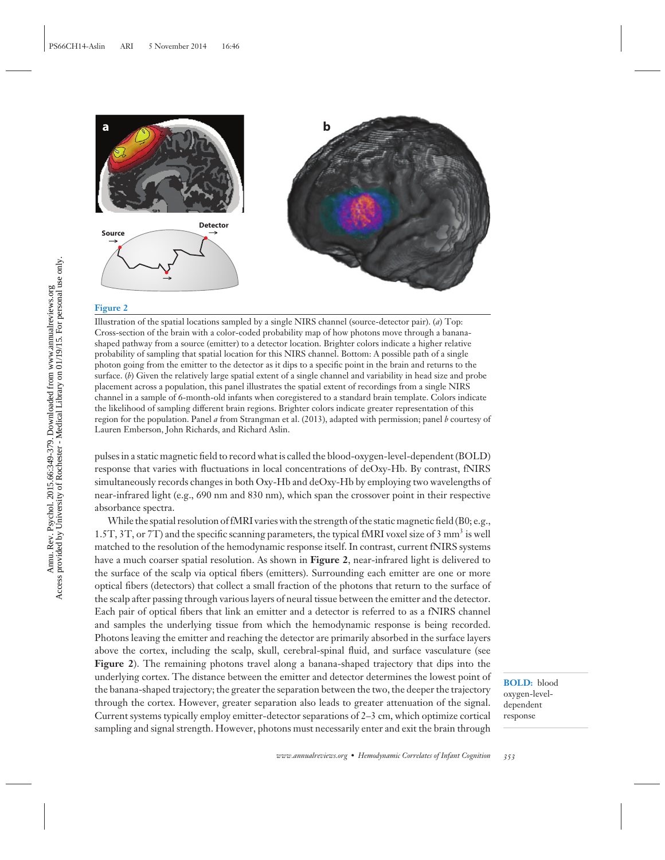

#### **Figure 2**

Illustration of the spatial locations sampled by a single NIRS channel (source-detector pair). (*a*) Top: Cross-section of the brain with a color-coded probability map of how photons move through a bananashaped pathway from a source (emitter) to a detector location. Brighter colors indicate a higher relative probability of sampling that spatial location for this NIRS channel. Bottom: A possible path of a single photon going from the emitter to the detector as it dips to a specific point in the brain and returns to the surface. (*b*) Given the relatively large spatial extent of a single channel and variability in head size and probe placement across a population, this panel illustrates the spatial extent of recordings from a single NIRS channel in a sample of 6-month-old infants when coregistered to a standard brain template. Colors indicate the likelihood of sampling different brain regions. Brighter colors indicate greater representation of this region for the population. Panel *a* from Strangman et al. (2013), adapted with permission; panel *b* courtesy of Lauren Emberson, John Richards, and Richard Aslin.

pulses in a static magnetic field to record what is called the blood-oxygen-level-dependent (BOLD) response that varies with fluctuations in local concentrations of deOxy-Hb. By contrast, fNIRS simultaneously records changes in both Oxy-Hb and deOxy-Hb by employing two wavelengths of near-infrared light (e.g., 690 nm and 830 nm), which span the crossover point in their respective absorbance spectra.

While the spatial resolution of fMRI varies with the strength of the static magnetic field (B0; e.g.,  $1.5T$ ,  $3T$ , or  $7T$ ) and the specific scanning parameters, the typical fMRI voxel size of 3 mm<sup>3</sup> is well matched to the resolution of the hemodynamic response itself. In contrast, current fNIRS systems have a much coarser spatial resolution. As shown in **Figure 2**, near-infrared light is delivered to the surface of the scalp via optical fibers (emitters). Surrounding each emitter are one or more optical fibers (detectors) that collect a small fraction of the photons that return to the surface of the scalp after passing through various layers of neural tissue between the emitter and the detector. Each pair of optical fibers that link an emitter and a detector is referred to as a fNIRS channel and samples the underlying tissue from which the hemodynamic response is being recorded. Photons leaving the emitter and reaching the detector are primarily absorbed in the surface layers above the cortex, including the scalp, skull, cerebral-spinal fluid, and surface vasculature (see **Figure 2**). The remaining photons travel along a banana-shaped trajectory that dips into the underlying cortex. The distance between the emitter and detector determines the lowest point of the banana-shaped trajectory; the greater the separation between the two, the deeper the trajectory through the cortex. However, greater separation also leads to greater attenuation of the signal. Current systems typically employ emitter-detector separations of 2–3 cm, which optimize cortical sampling and signal strength. However, photons must necessarily enter and exit the brain through

**BOLD:** blood oxygen-leveldependent response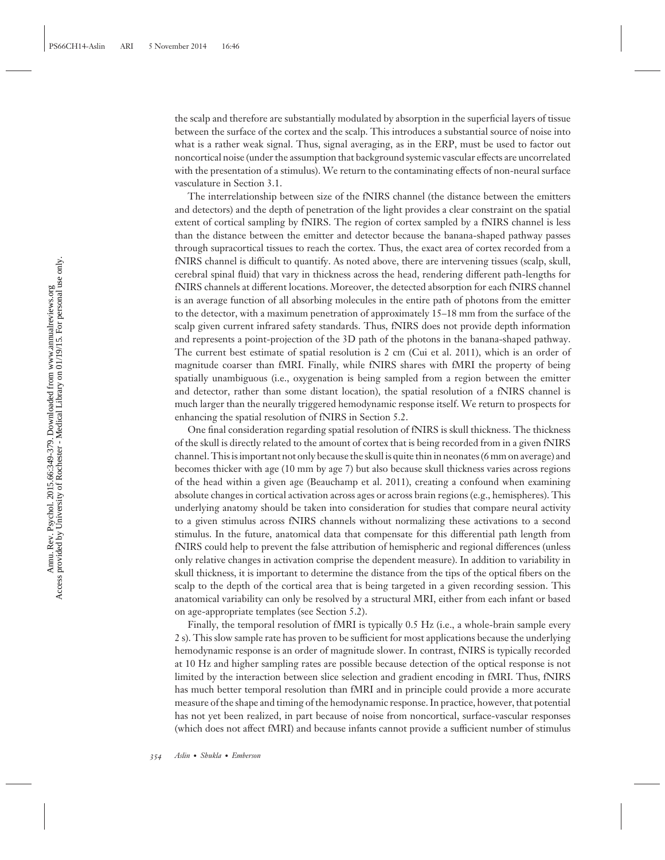the scalp and therefore are substantially modulated by absorption in the superficial layers of tissue between the surface of the cortex and the scalp. This introduces a substantial source of noise into what is a rather weak signal. Thus, signal averaging, as in the ERP, must be used to factor out noncortical noise (under the assumption that background systemic vascular effects are uncorrelated with the presentation of a stimulus). We return to the contaminating effects of non-neural surface vasculature in Section 3.1.

The interrelationship between size of the fNIRS channel (the distance between the emitters and detectors) and the depth of penetration of the light provides a clear constraint on the spatial extent of cortical sampling by fNIRS. The region of cortex sampled by a fNIRS channel is less than the distance between the emitter and detector because the banana-shaped pathway passes through supracortical tissues to reach the cortex. Thus, the exact area of cortex recorded from a fNIRS channel is difficult to quantify. As noted above, there are intervening tissues (scalp, skull, cerebral spinal fluid) that vary in thickness across the head, rendering different path-lengths for fNIRS channels at different locations. Moreover, the detected absorption for each fNIRS channel is an average function of all absorbing molecules in the entire path of photons from the emitter to the detector, with a maximum penetration of approximately 15–18 mm from the surface of the scalp given current infrared safety standards. Thus, fNIRS does not provide depth information and represents a point-projection of the 3D path of the photons in the banana-shaped pathway. The current best estimate of spatial resolution is 2 cm (Cui et al. 2011), which is an order of magnitude coarser than fMRI. Finally, while fNIRS shares with fMRI the property of being spatially unambiguous (i.e., oxygenation is being sampled from a region between the emitter and detector, rather than some distant location), the spatial resolution of a fNIRS channel is much larger than the neurally triggered hemodynamic response itself. We return to prospects for enhancing the spatial resolution of fNIRS in Section 5.2.

One final consideration regarding spatial resolution of fNIRS is skull thickness. The thickness of the skull is directly related to the amount of cortex that is being recorded from in a given fNIRS channel. This is important not only because the skull is quite thin in neonates (6 mm on average) and becomes thicker with age (10 mm by age 7) but also because skull thickness varies across regions of the head within a given age (Beauchamp et al. 2011), creating a confound when examining absolute changes in cortical activation across ages or across brain regions (e.g., hemispheres). This underlying anatomy should be taken into consideration for studies that compare neural activity to a given stimulus across fNIRS channels without normalizing these activations to a second stimulus. In the future, anatomical data that compensate for this differential path length from fNIRS could help to prevent the false attribution of hemispheric and regional differences (unless only relative changes in activation comprise the dependent measure). In addition to variability in skull thickness, it is important to determine the distance from the tips of the optical fibers on the scalp to the depth of the cortical area that is being targeted in a given recording session. This anatomical variability can only be resolved by a structural MRI, either from each infant or based on age-appropriate templates (see Section 5.2).

Finally, the temporal resolution of fMRI is typically 0.5 Hz (i.e., a whole-brain sample every 2 s). This slow sample rate has proven to be sufficient for most applications because the underlying hemodynamic response is an order of magnitude slower. In contrast, fNIRS is typically recorded at 10 Hz and higher sampling rates are possible because detection of the optical response is not limited by the interaction between slice selection and gradient encoding in fMRI. Thus, fNIRS has much better temporal resolution than fMRI and in principle could provide a more accurate measure of the shape and timing of the hemodynamic response. In practice, however, that potential has not yet been realized, in part because of noise from noncortical, surface-vascular responses (which does not affect fMRI) and because infants cannot provide a sufficient number of stimulus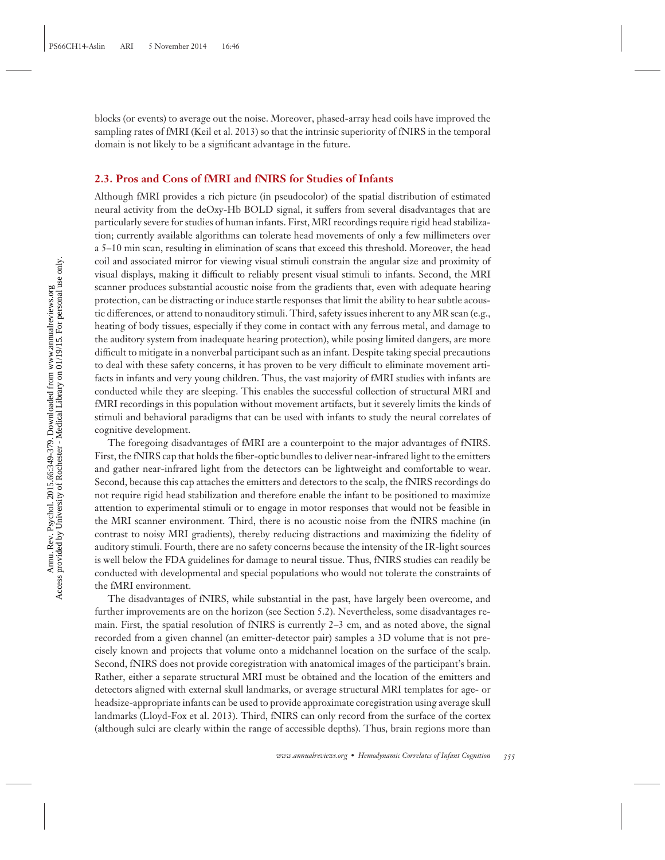blocks (or events) to average out the noise. Moreover, phased-array head coils have improved the sampling rates of fMRI (Keil et al. 2013) so that the intrinsic superiority of fNIRS in the temporal domain is not likely to be a significant advantage in the future.

# **2.3. Pros and Cons of fMRI and fNIRS for Studies of Infants**

Although fMRI provides a rich picture (in pseudocolor) of the spatial distribution of estimated neural activity from the deOxy-Hb BOLD signal, it suffers from several disadvantages that are particularly severe for studies of human infants. First, MRI recordings require rigid head stabilization; currently available algorithms can tolerate head movements of only a few millimeters over a 5–10 min scan, resulting in elimination of scans that exceed this threshold. Moreover, the head coil and associated mirror for viewing visual stimuli constrain the angular size and proximity of visual displays, making it difficult to reliably present visual stimuli to infants. Second, the MRI scanner produces substantial acoustic noise from the gradients that, even with adequate hearing protection, can be distracting or induce startle responses that limit the ability to hear subtle acoustic differences, or attend to nonauditory stimuli. Third, safety issues inherent to any MR scan (e.g., heating of body tissues, especially if they come in contact with any ferrous metal, and damage to the auditory system from inadequate hearing protection), while posing limited dangers, are more difficult to mitigate in a nonverbal participant such as an infant. Despite taking special precautions to deal with these safety concerns, it has proven to be very difficult to eliminate movement artifacts in infants and very young children. Thus, the vast majority of fMRI studies with infants are conducted while they are sleeping. This enables the successful collection of structural MRI and fMRI recordings in this population without movement artifacts, but it severely limits the kinds of stimuli and behavioral paradigms that can be used with infants to study the neural correlates of cognitive development.

The foregoing disadvantages of fMRI are a counterpoint to the major advantages of fNIRS. First, the fNIRS cap that holds the fiber-optic bundles to deliver near-infrared light to the emitters and gather near-infrared light from the detectors can be lightweight and comfortable to wear. Second, because this cap attaches the emitters and detectors to the scalp, the fNIRS recordings do not require rigid head stabilization and therefore enable the infant to be positioned to maximize attention to experimental stimuli or to engage in motor responses that would not be feasible in the MRI scanner environment. Third, there is no acoustic noise from the fNIRS machine (in contrast to noisy MRI gradients), thereby reducing distractions and maximizing the fidelity of auditory stimuli. Fourth, there are no safety concerns because the intensity of the IR-light sources is well below the FDA guidelines for damage to neural tissue. Thus, fNIRS studies can readily be conducted with developmental and special populations who would not tolerate the constraints of the fMRI environment.

The disadvantages of fNIRS, while substantial in the past, have largely been overcome, and further improvements are on the horizon (see Section 5.2). Nevertheless, some disadvantages remain. First, the spatial resolution of fNIRS is currently 2–3 cm, and as noted above, the signal recorded from a given channel (an emitter-detector pair) samples a 3D volume that is not precisely known and projects that volume onto a midchannel location on the surface of the scalp. Second, fNIRS does not provide coregistration with anatomical images of the participant's brain. Rather, either a separate structural MRI must be obtained and the location of the emitters and detectors aligned with external skull landmarks, or average structural MRI templates for age- or headsize-appropriate infants can be used to provide approximate coregistration using average skull landmarks (Lloyd-Fox et al. 2013). Third, fNIRS can only record from the surface of the cortex (although sulci are clearly within the range of accessible depths). Thus, brain regions more than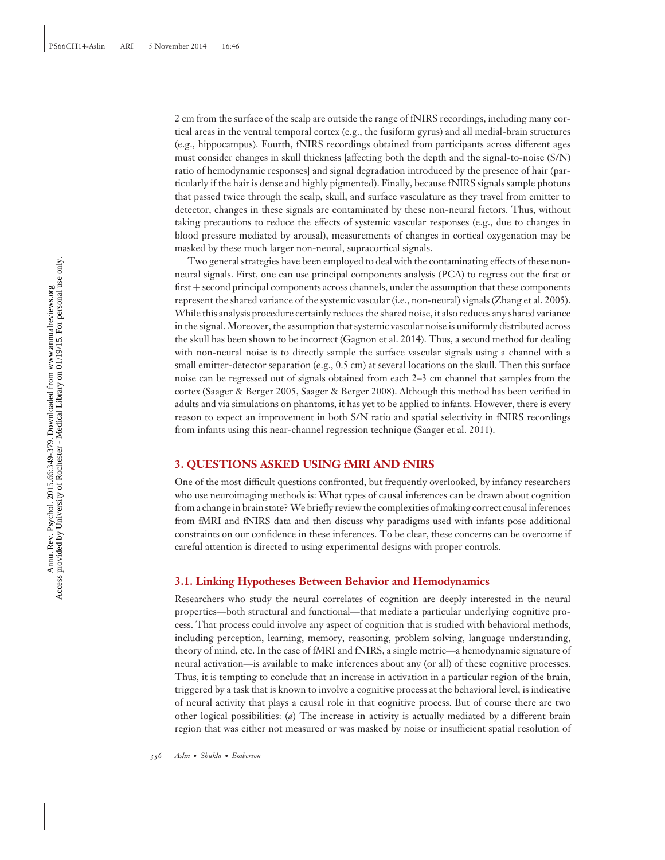2 cm from the surface of the scalp are outside the range of fNIRS recordings, including many cortical areas in the ventral temporal cortex (e.g., the fusiform gyrus) and all medial-brain structures (e.g., hippocampus). Fourth, fNIRS recordings obtained from participants across different ages must consider changes in skull thickness [affecting both the depth and the signal-to-noise (S/N) ratio of hemodynamic responses] and signal degradation introduced by the presence of hair (particularly if the hair is dense and highly pigmented). Finally, because fNIRS signals sample photons that passed twice through the scalp, skull, and surface vasculature as they travel from emitter to detector, changes in these signals are contaminated by these non-neural factors. Thus, without taking precautions to reduce the effects of systemic vascular responses (e.g., due to changes in blood pressure mediated by arousal), measurements of changes in cortical oxygenation may be masked by these much larger non-neural, supracortical signals.

Two general strategies have been employed to deal with the contaminating effects of these nonneural signals. First, one can use principal components analysis (PCA) to regress out the first or first + second principal components across channels, under the assumption that these components represent the shared variance of the systemic vascular (i.e., non-neural) signals (Zhang et al. 2005). While this analysis procedure certainly reduces the shared noise, it also reduces any shared variance in the signal. Moreover, the assumption that systemic vascular noise is uniformly distributed across the skull has been shown to be incorrect (Gagnon et al. 2014). Thus, a second method for dealing with non-neural noise is to directly sample the surface vascular signals using a channel with a small emitter-detector separation (e.g., 0.5 cm) at several locations on the skull. Then this surface noise can be regressed out of signals obtained from each 2–3 cm channel that samples from the cortex (Saager & Berger 2005, Saager & Berger 2008). Although this method has been verified in adults and via simulations on phantoms, it has yet to be applied to infants. However, there is every reason to expect an improvement in both S/N ratio and spatial selectivity in fNIRS recordings from infants using this near-channel regression technique (Saager et al. 2011).

# **3. QUESTIONS ASKED USING fMRI AND fNIRS**

One of the most difficult questions confronted, but frequently overlooked, by infancy researchers who use neuroimaging methods is: What types of causal inferences can be drawn about cognition from a change in brain state? We briefly review the complexities of making correct causal inferences from fMRI and fNIRS data and then discuss why paradigms used with infants pose additional constraints on our confidence in these inferences. To be clear, these concerns can be overcome if careful attention is directed to using experimental designs with proper controls.

#### **3.1. Linking Hypotheses Between Behavior and Hemodynamics**

Researchers who study the neural correlates of cognition are deeply interested in the neural properties—both structural and functional—that mediate a particular underlying cognitive process. That process could involve any aspect of cognition that is studied with behavioral methods, including perception, learning, memory, reasoning, problem solving, language understanding, theory of mind, etc. In the case of fMRI and fNIRS, a single metric—a hemodynamic signature of neural activation—is available to make inferences about any (or all) of these cognitive processes. Thus, it is tempting to conclude that an increase in activation in a particular region of the brain, triggered by a task that is known to involve a cognitive process at the behavioral level, is indicative of neural activity that plays a causal role in that cognitive process. But of course there are two other logical possibilities: (*a*) The increase in activity is actually mediated by a different brain region that was either not measured or was masked by noise or insufficient spatial resolution of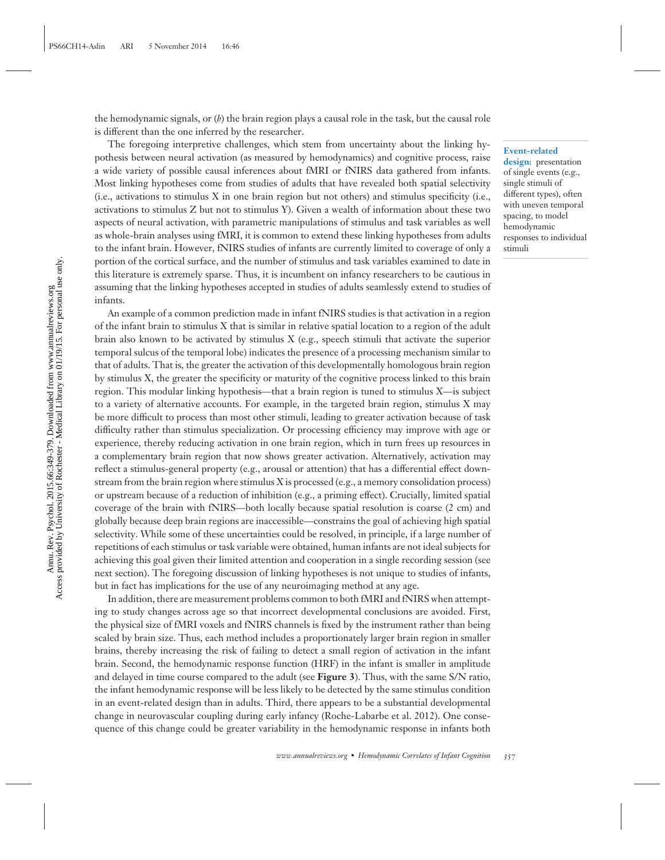the hemodynamic signals, or (*b*) the brain region plays a causal role in the task, but the causal role is different than the one inferred by the researcher.

The foregoing interpretive challenges, which stem from uncertainty about the linking hypothesis between neural activation (as measured by hemodynamics) and cognitive process, raise a wide variety of possible causal inferences about fMRI or fNIRS data gathered from infants. Most linking hypotheses come from studies of adults that have revealed both spatial selectivity (i.e., activations to stimulus X in one brain region but not others) and stimulus specificity (i.e., activations to stimulus Z but not to stimulus Y). Given a wealth of information about these two aspects of neural activation, with parametric manipulations of stimulus and task variables as well as whole-brain analyses using fMRI, it is common to extend these linking hypotheses from adults to the infant brain. However, fNIRS studies of infants are currently limited to coverage of only a portion of the cortical surface, and the number of stimulus and task variables examined to date in this literature is extremely sparse. Thus, it is incumbent on infancy researchers to be cautious in assuming that the linking hypotheses accepted in studies of adults seamlessly extend to studies of infants.

An example of a common prediction made in infant fNIRS studies is that activation in a region of the infant brain to stimulus X that is similar in relative spatial location to a region of the adult brain also known to be activated by stimulus X (e.g., speech stimuli that activate the superior temporal sulcus of the temporal lobe) indicates the presence of a processing mechanism similar to that of adults. That is, the greater the activation of this developmentally homologous brain region by stimulus X, the greater the specificity or maturity of the cognitive process linked to this brain region. This modular linking hypothesis—that a brain region is tuned to stimulus X—is subject to a variety of alternative accounts. For example, in the targeted brain region, stimulus X may be more difficult to process than most other stimuli, leading to greater activation because of task difficulty rather than stimulus specialization. Or processing efficiency may improve with age or experience, thereby reducing activation in one brain region, which in turn frees up resources in a complementary brain region that now shows greater activation. Alternatively, activation may reflect a stimulus-general property (e.g., arousal or attention) that has a differential effect downstream from the brain region where stimulus X is processed (e.g., a memory consolidation process) or upstream because of a reduction of inhibition (e.g., a priming effect). Crucially, limited spatial coverage of the brain with fNIRS—both locally because spatial resolution is coarse (2 cm) and globally because deep brain regions are inaccessible—constrains the goal of achieving high spatial selectivity. While some of these uncertainties could be resolved, in principle, if a large number of repetitions of each stimulus or task variable were obtained, human infants are not ideal subjects for achieving this goal given their limited attention and cooperation in a single recording session (see next section). The foregoing discussion of linking hypotheses is not unique to studies of infants, but in fact has implications for the use of any neuroimaging method at any age.

In addition, there are measurement problems common to both fMRI and fNIRS when attempting to study changes across age so that incorrect developmental conclusions are avoided. First, the physical size of fMRI voxels and fNIRS channels is fixed by the instrument rather than being scaled by brain size. Thus, each method includes a proportionately larger brain region in smaller brains, thereby increasing the risk of failing to detect a small region of activation in the infant brain. Second, the hemodynamic response function (HRF) in the infant is smaller in amplitude and delayed in time course compared to the adult (see **Figure 3**). Thus, with the same S/N ratio, the infant hemodynamic response will be less likely to be detected by the same stimulus condition in an event-related design than in adults. Third, there appears to be a substantial developmental change in neurovascular coupling during early infancy (Roche-Labarbe et al. 2012). One consequence of this change could be greater variability in the hemodynamic response in infants both **Event-related design:** presentation of single events (e.g., single stimuli of different types), often with uneven temporal spacing, to model hemodynamic responses to individual stimuli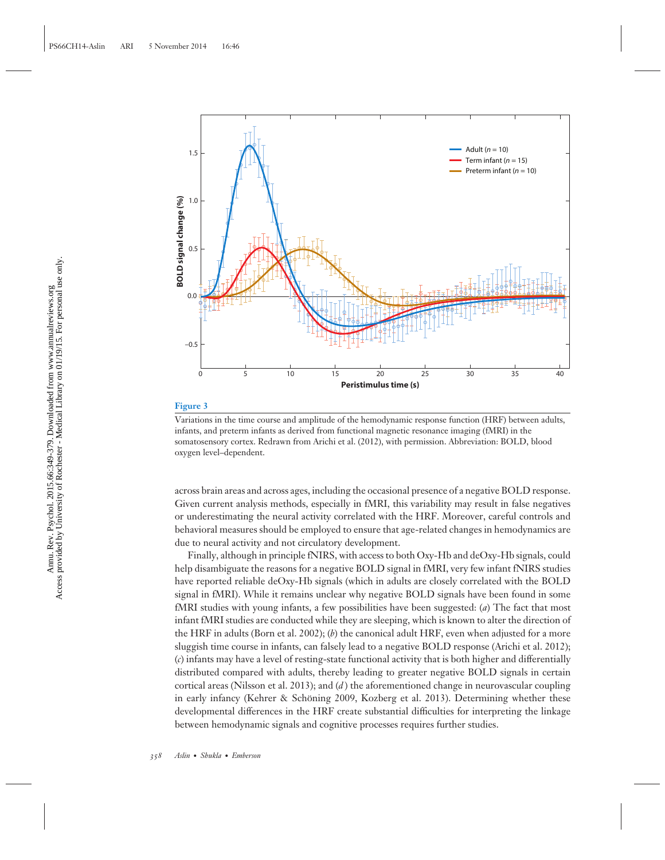

#### **Figure 3**

Variations in the time course and amplitude of the hemodynamic response function (HRF) between adults, infants, and preterm infants as derived from functional magnetic resonance imaging (fMRI) in the somatosensory cortex. Redrawn from Arichi et al. (2012), with permission. Abbreviation: BOLD, blood oxygen level–dependent.

across brain areas and across ages, including the occasional presence of a negative BOLD response. Given current analysis methods, especially in fMRI, this variability may result in false negatives or underestimating the neural activity correlated with the HRF. Moreover, careful controls and behavioral measures should be employed to ensure that age-related changes in hemodynamics are due to neural activity and not circulatory development.

Finally, although in principle fNIRS, with access to both Oxy-Hb and deOxy-Hb signals, could help disambiguate the reasons for a negative BOLD signal in fMRI, very few infant fNIRS studies have reported reliable deOxy-Hb signals (which in adults are closely correlated with the BOLD signal in fMRI). While it remains unclear why negative BOLD signals have been found in some fMRI studies with young infants, a few possibilities have been suggested: (*a*) The fact that most infant fMRI studies are conducted while they are sleeping, which is known to alter the direction of the HRF in adults (Born et al. 2002); (*b*) the canonical adult HRF, even when adjusted for a more sluggish time course in infants, can falsely lead to a negative BOLD response (Arichi et al. 2012); (*c*) infants may have a level of resting-state functional activity that is both higher and differentially distributed compared with adults, thereby leading to greater negative BOLD signals in certain cortical areas (Nilsson et al. 2013); and (*d* ) the aforementioned change in neurovascular coupling in early infancy (Kehrer & Schöning 2009, Kozberg et al. 2013). Determining whether these developmental differences in the HRF create substantial difficulties for interpreting the linkage between hemodynamic signals and cognitive processes requires further studies.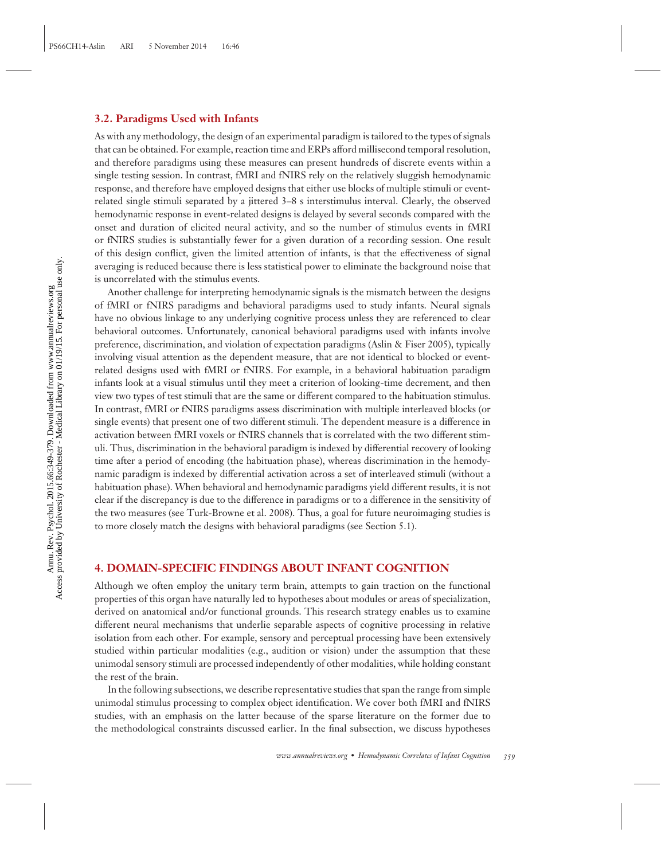# **3.2. Paradigms Used with Infants**

As with any methodology, the design of an experimental paradigm is tailored to the types of signals that can be obtained. For example, reaction time and ERPs afford millisecond temporal resolution, and therefore paradigms using these measures can present hundreds of discrete events within a single testing session. In contrast, fMRI and fNIRS rely on the relatively sluggish hemodynamic response, and therefore have employed designs that either use blocks of multiple stimuli or eventrelated single stimuli separated by a jittered 3–8 s interstimulus interval. Clearly, the observed hemodynamic response in event-related designs is delayed by several seconds compared with the onset and duration of elicited neural activity, and so the number of stimulus events in fMRI or fNIRS studies is substantially fewer for a given duration of a recording session. One result of this design conflict, given the limited attention of infants, is that the effectiveness of signal averaging is reduced because there is less statistical power to eliminate the background noise that is uncorrelated with the stimulus events.

Another challenge for interpreting hemodynamic signals is the mismatch between the designs of fMRI or fNIRS paradigms and behavioral paradigms used to study infants. Neural signals have no obvious linkage to any underlying cognitive process unless they are referenced to clear behavioral outcomes. Unfortunately, canonical behavioral paradigms used with infants involve preference, discrimination, and violation of expectation paradigms (Aslin & Fiser 2005), typically involving visual attention as the dependent measure, that are not identical to blocked or eventrelated designs used with fMRI or fNIRS. For example, in a behavioral habituation paradigm infants look at a visual stimulus until they meet a criterion of looking-time decrement, and then view two types of test stimuli that are the same or different compared to the habituation stimulus. In contrast, fMRI or fNIRS paradigms assess discrimination with multiple interleaved blocks (or single events) that present one of two different stimuli. The dependent measure is a difference in activation between fMRI voxels or fNIRS channels that is correlated with the two different stimuli. Thus, discrimination in the behavioral paradigm is indexed by differential recovery of looking time after a period of encoding (the habituation phase), whereas discrimination in the hemodynamic paradigm is indexed by differential activation across a set of interleaved stimuli (without a habituation phase). When behavioral and hemodynamic paradigms yield different results, it is not clear if the discrepancy is due to the difference in paradigms or to a difference in the sensitivity of the two measures (see Turk-Browne et al. 2008). Thus, a goal for future neuroimaging studies is to more closely match the designs with behavioral paradigms (see Section 5.1).

# **4. DOMAIN-SPECIFIC FINDINGS ABOUT INFANT COGNITION**

Although we often employ the unitary term brain, attempts to gain traction on the functional properties of this organ have naturally led to hypotheses about modules or areas of specialization, derived on anatomical and/or functional grounds. This research strategy enables us to examine different neural mechanisms that underlie separable aspects of cognitive processing in relative isolation from each other. For example, sensory and perceptual processing have been extensively studied within particular modalities (e.g., audition or vision) under the assumption that these unimodal sensory stimuli are processed independently of other modalities, while holding constant the rest of the brain.

In the following subsections, we describe representative studies that span the range from simple unimodal stimulus processing to complex object identification. We cover both fMRI and fNIRS studies, with an emphasis on the latter because of the sparse literature on the former due to the methodological constraints discussed earlier. In the final subsection, we discuss hypotheses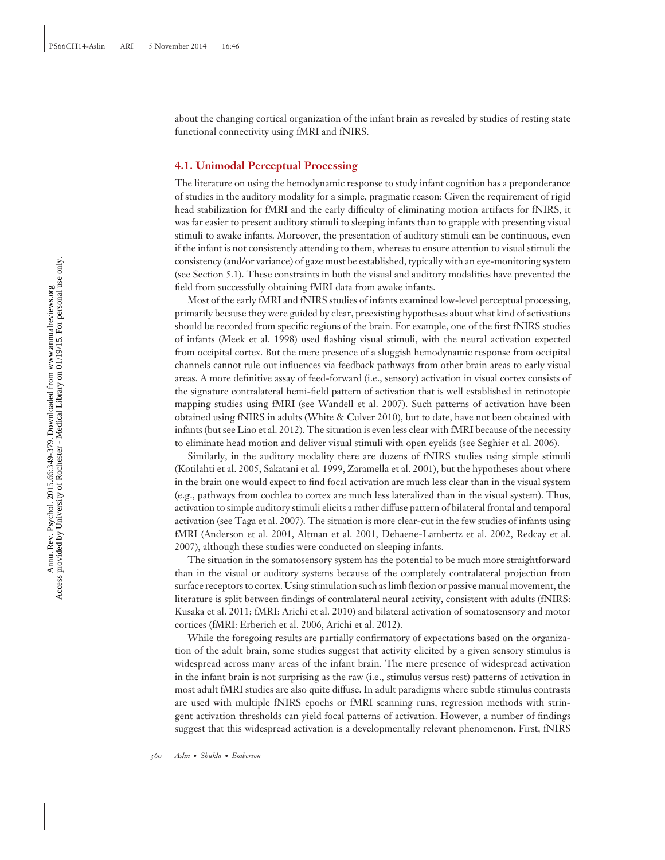about the changing cortical organization of the infant brain as revealed by studies of resting state functional connectivity using fMRI and fNIRS.

#### **4.1. Unimodal Perceptual Processing**

The literature on using the hemodynamic response to study infant cognition has a preponderance of studies in the auditory modality for a simple, pragmatic reason: Given the requirement of rigid head stabilization for fMRI and the early difficulty of eliminating motion artifacts for fNIRS, it was far easier to present auditory stimuli to sleeping infants than to grapple with presenting visual stimuli to awake infants. Moreover, the presentation of auditory stimuli can be continuous, even if the infant is not consistently attending to them, whereas to ensure attention to visual stimuli the consistency (and/or variance) of gaze must be established, typically with an eye-monitoring system (see Section 5.1). These constraints in both the visual and auditory modalities have prevented the field from successfully obtaining fMRI data from awake infants.

Most of the early fMRI and fNIRS studies of infants examined low-level perceptual processing, primarily because they were guided by clear, preexisting hypotheses about what kind of activations should be recorded from specific regions of the brain. For example, one of the first fNIRS studies of infants (Meek et al. 1998) used flashing visual stimuli, with the neural activation expected from occipital cortex. But the mere presence of a sluggish hemodynamic response from occipital channels cannot rule out influences via feedback pathways from other brain areas to early visual areas. A more definitive assay of feed-forward (i.e., sensory) activation in visual cortex consists of the signature contralateral hemi-field pattern of activation that is well established in retinotopic mapping studies using fMRI (see Wandell et al. 2007). Such patterns of activation have been obtained using fNIRS in adults (White & Culver 2010), but to date, have not been obtained with infants (but see Liao et al. 2012). The situation is even less clear with fMRI because of the necessity to eliminate head motion and deliver visual stimuli with open eyelids (see Seghier et al. 2006).

Similarly, in the auditory modality there are dozens of fNIRS studies using simple stimuli (Kotilahti et al. 2005, Sakatani et al. 1999, Zaramella et al. 2001), but the hypotheses about where in the brain one would expect to find focal activation are much less clear than in the visual system (e.g., pathways from cochlea to cortex are much less lateralized than in the visual system). Thus, activation to simple auditory stimuli elicits a rather diffuse pattern of bilateral frontal and temporal activation (see Taga et al. 2007). The situation is more clear-cut in the few studies of infants using fMRI (Anderson et al. 2001, Altman et al. 2001, Dehaene-Lambertz et al. 2002, Redcay et al. 2007), although these studies were conducted on sleeping infants.

The situation in the somatosensory system has the potential to be much more straightforward than in the visual or auditory systems because of the completely contralateral projection from surface receptors to cortex. Using stimulation such as limb flexion or passive manual movement, the literature is split between findings of contralateral neural activity, consistent with adults (fNIRS: Kusaka et al. 2011; fMRI: Arichi et al. 2010) and bilateral activation of somatosensory and motor cortices (fMRI: Erberich et al. 2006, Arichi et al. 2012).

While the foregoing results are partially confirmatory of expectations based on the organization of the adult brain, some studies suggest that activity elicited by a given sensory stimulus is widespread across many areas of the infant brain. The mere presence of widespread activation in the infant brain is not surprising as the raw (i.e., stimulus versus rest) patterns of activation in most adult fMRI studies are also quite diffuse. In adult paradigms where subtle stimulus contrasts are used with multiple fNIRS epochs or fMRI scanning runs, regression methods with stringent activation thresholds can yield focal patterns of activation. However, a number of findings suggest that this widespread activation is a developmentally relevant phenomenon. First, fNIRS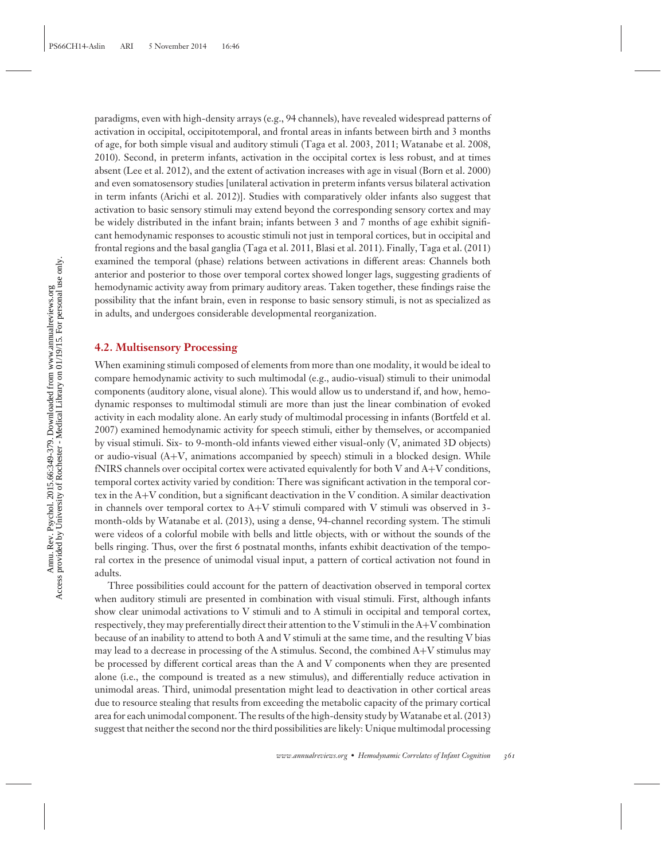paradigms, even with high-density arrays (e.g., 94 channels), have revealed widespread patterns of activation in occipital, occipitotemporal, and frontal areas in infants between birth and 3 months of age, for both simple visual and auditory stimuli (Taga et al. 2003, 2011; Watanabe et al. 2008, 2010). Second, in preterm infants, activation in the occipital cortex is less robust, and at times absent (Lee et al. 2012), and the extent of activation increases with age in visual (Born et al. 2000) and even somatosensory studies [unilateral activation in preterm infants versus bilateral activation in term infants (Arichi et al. 2012)]. Studies with comparatively older infants also suggest that activation to basic sensory stimuli may extend beyond the corresponding sensory cortex and may be widely distributed in the infant brain; infants between 3 and 7 months of age exhibit significant hemodynamic responses to acoustic stimuli not just in temporal cortices, but in occipital and frontal regions and the basal ganglia (Taga et al. 2011, Blasi et al. 2011). Finally, Taga et al. (2011) examined the temporal (phase) relations between activations in different areas: Channels both anterior and posterior to those over temporal cortex showed longer lags, suggesting gradients of hemodynamic activity away from primary auditory areas. Taken together, these findings raise the possibility that the infant brain, even in response to basic sensory stimuli, is not as specialized as in adults, and undergoes considerable developmental reorganization.

# **4.2. Multisensory Processing**

When examining stimuli composed of elements from more than one modality, it would be ideal to compare hemodynamic activity to such multimodal (e.g., audio-visual) stimuli to their unimodal components (auditory alone, visual alone). This would allow us to understand if, and how, hemodynamic responses to multimodal stimuli are more than just the linear combination of evoked activity in each modality alone. An early study of multimodal processing in infants (Bortfeld et al. 2007) examined hemodynamic activity for speech stimuli, either by themselves, or accompanied by visual stimuli. Six- to 9-month-old infants viewed either visual-only (V, animated 3D objects) or audio-visual  $(A+V,$  animations accompanied by speech) stimuli in a blocked design. While fNIRS channels over occipital cortex were activated equivalently for both V and  $A+V$  conditions, temporal cortex activity varied by condition: There was significant activation in the temporal cortex in the A+V condition, but a significant deactivation in the V condition. A similar deactivation in channels over temporal cortex to  $A+V$  stimuli compared with V stimuli was observed in 3month-olds by Watanabe et al. (2013), using a dense, 94-channel recording system. The stimuli were videos of a colorful mobile with bells and little objects, with or without the sounds of the bells ringing. Thus, over the first 6 postnatal months, infants exhibit deactivation of the temporal cortex in the presence of unimodal visual input, a pattern of cortical activation not found in adults.

Three possibilities could account for the pattern of deactivation observed in temporal cortex when auditory stimuli are presented in combination with visual stimuli. First, although infants show clear unimodal activations to V stimuli and to A stimuli in occipital and temporal cortex, respectively, they may preferentially direct their attention to the V stimuli in the A+V combination because of an inability to attend to both A and V stimuli at the same time, and the resulting V bias may lead to a decrease in processing of the A stimulus. Second, the combined A+V stimulus may be processed by different cortical areas than the A and V components when they are presented alone (i.e., the compound is treated as a new stimulus), and differentially reduce activation in unimodal areas. Third, unimodal presentation might lead to deactivation in other cortical areas due to resource stealing that results from exceeding the metabolic capacity of the primary cortical area for each unimodal component. The results of the high-density study by Watanabe et al. (2013) suggest that neither the second nor the third possibilities are likely: Unique multimodal processing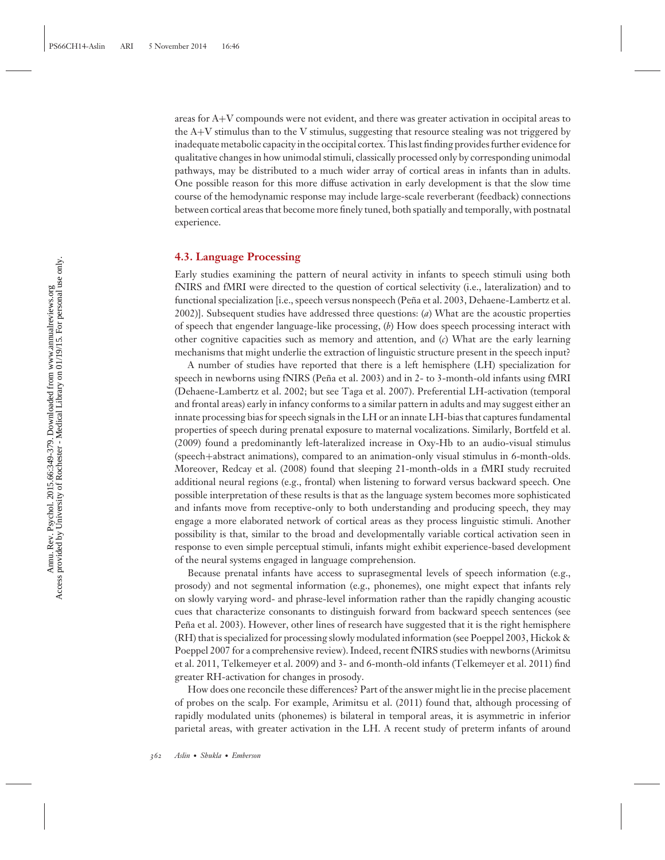areas for A+V compounds were not evident, and there was greater activation in occipital areas to the  $A+V$  stimulus than to the V stimulus, suggesting that resource stealing was not triggered by inadequate metabolic capacity in the occipital cortex. This last finding provides further evidence for qualitative changes in how unimodal stimuli, classically processed only by corresponding unimodal pathways, may be distributed to a much wider array of cortical areas in infants than in adults. One possible reason for this more diffuse activation in early development is that the slow time course of the hemodynamic response may include large-scale reverberant (feedback) connections between cortical areas that become more finely tuned, both spatially and temporally, with postnatal experience.

#### **4.3. Language Processing**

Early studies examining the pattern of neural activity in infants to speech stimuli using both fNIRS and fMRI were directed to the question of cortical selectivity (i.e., lateralization) and to functional specialization [i.e., speech versus nonspeech (Peña et al. 2003, Dehaene-Lambertz et al. 2002)]. Subsequent studies have addressed three questions: (*a*) What are the acoustic properties of speech that engender language-like processing, (*b*) How does speech processing interact with other cognitive capacities such as memory and attention, and (*c*) What are the early learning mechanisms that might underlie the extraction of linguistic structure present in the speech input?

A number of studies have reported that there is a left hemisphere (LH) specialization for speech in newborns using fNIRS (Peña et al. 2003) and in 2- to 3-month-old infants using fMRI (Dehaene-Lambertz et al. 2002; but see Taga et al. 2007). Preferential LH-activation (temporal and frontal areas) early in infancy conforms to a similar pattern in adults and may suggest either an innate processing bias for speech signals in the LH or an innate LH-bias that captures fundamental properties of speech during prenatal exposure to maternal vocalizations. Similarly, Bortfeld et al. (2009) found a predominantly left-lateralized increase in Oxy-Hb to an audio-visual stimulus (speech+abstract animations), compared to an animation-only visual stimulus in 6-month-olds. Moreover, Redcay et al. (2008) found that sleeping 21-month-olds in a fMRI study recruited additional neural regions (e.g., frontal) when listening to forward versus backward speech. One possible interpretation of these results is that as the language system becomes more sophisticated and infants move from receptive-only to both understanding and producing speech, they may engage a more elaborated network of cortical areas as they process linguistic stimuli. Another possibility is that, similar to the broad and developmentally variable cortical activation seen in response to even simple perceptual stimuli, infants might exhibit experience-based development of the neural systems engaged in language comprehension.

Because prenatal infants have access to suprasegmental levels of speech information (e.g., prosody) and not segmental information (e.g., phonemes), one might expect that infants rely on slowly varying word- and phrase-level information rather than the rapidly changing acoustic cues that characterize consonants to distinguish forward from backward speech sentences (see Peña et al. 2003). However, other lines of research have suggested that it is the right hemisphere (RH) that is specialized for processing slowly modulated information (see Poeppel 2003, Hickok & Poeppel 2007 for a comprehensive review). Indeed, recent fNIRS studies with newborns (Arimitsu et al. 2011, Telkemeyer et al. 2009) and 3- and 6-month-old infants (Telkemeyer et al. 2011) find greater RH-activation for changes in prosody.

How does one reconcile these differences? Part of the answer might lie in the precise placement of probes on the scalp. For example, Arimitsu et al. (2011) found that, although processing of rapidly modulated units (phonemes) is bilateral in temporal areas, it is asymmetric in inferior parietal areas, with greater activation in the LH. A recent study of preterm infants of around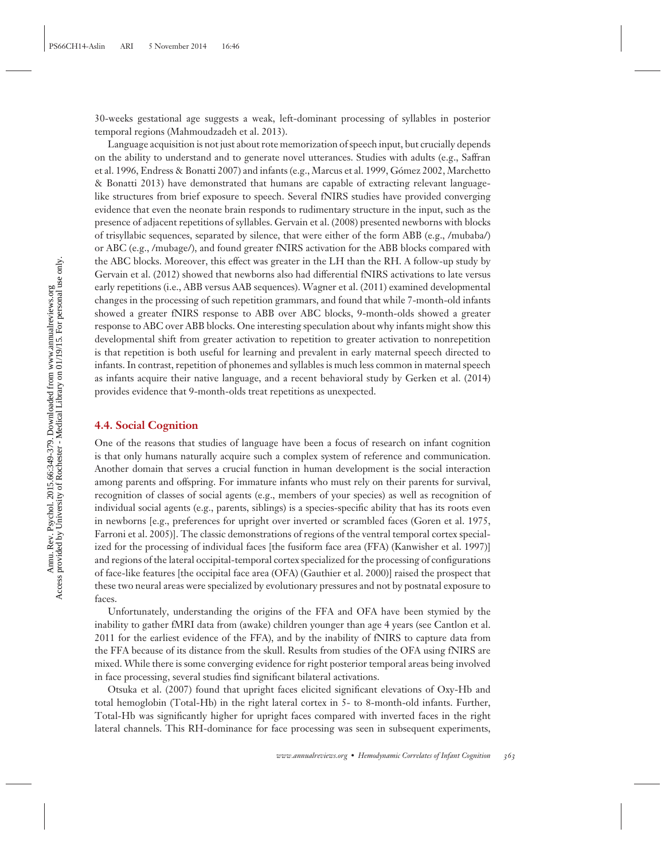30-weeks gestational age suggests a weak, left-dominant processing of syllables in posterior temporal regions (Mahmoudzadeh et al. 2013).

Language acquisition is not just about rote memorization of speech input, but crucially depends on the ability to understand and to generate novel utterances. Studies with adults (e.g., Saffran et al. 1996, Endress & Bonatti 2007) and infants (e.g., Marcus et al. 1999, Gómez 2002, Marchetto & Bonatti 2013) have demonstrated that humans are capable of extracting relevant languagelike structures from brief exposure to speech. Several fNIRS studies have provided converging evidence that even the neonate brain responds to rudimentary structure in the input, such as the presence of adjacent repetitions of syllables. Gervain et al. (2008) presented newborns with blocks of trisyllabic sequences, separated by silence, that were either of the form ABB (e.g., /mubaba/) or ABC (e.g., /mubage/), and found greater fNIRS activation for the ABB blocks compared with the ABC blocks. Moreover, this effect was greater in the LH than the RH. A follow-up study by Gervain et al. (2012) showed that newborns also had differential fNIRS activations to late versus early repetitions (i.e., ABB versus AAB sequences). Wagner et al. (2011) examined developmental changes in the processing of such repetition grammars, and found that while 7-month-old infants showed a greater fNIRS response to ABB over ABC blocks, 9-month-olds showed a greater response to ABC over ABB blocks. One interesting speculation about why infants might show this developmental shift from greater activation to repetition to greater activation to nonrepetition is that repetition is both useful for learning and prevalent in early maternal speech directed to infants. In contrast, repetition of phonemes and syllables is much less common in maternal speech as infants acquire their native language, and a recent behavioral study by Gerken et al. (2014) provides evidence that 9-month-olds treat repetitions as unexpected.

### **4.4. Social Cognition**

One of the reasons that studies of language have been a focus of research on infant cognition is that only humans naturally acquire such a complex system of reference and communication. Another domain that serves a crucial function in human development is the social interaction among parents and offspring. For immature infants who must rely on their parents for survival, recognition of classes of social agents (e.g., members of your species) as well as recognition of individual social agents (e.g., parents, siblings) is a species-specific ability that has its roots even in newborns [e.g., preferences for upright over inverted or scrambled faces (Goren et al. 1975, Farroni et al. 2005)]. The classic demonstrations of regions of the ventral temporal cortex specialized for the processing of individual faces [the fusiform face area (FFA) (Kanwisher et al. 1997)] and regions of the lateral occipital-temporal cortex specialized for the processing of configurations of face-like features [the occipital face area (OFA) (Gauthier et al. 2000)] raised the prospect that these two neural areas were specialized by evolutionary pressures and not by postnatal exposure to faces.

Unfortunately, understanding the origins of the FFA and OFA have been stymied by the inability to gather fMRI data from (awake) children younger than age 4 years (see Cantlon et al. 2011 for the earliest evidence of the FFA), and by the inability of fNIRS to capture data from the FFA because of its distance from the skull. Results from studies of the OFA using fNIRS are mixed. While there is some converging evidence for right posterior temporal areas being involved in face processing, several studies find significant bilateral activations.

Otsuka et al. (2007) found that upright faces elicited significant elevations of Oxy-Hb and total hemoglobin (Total-Hb) in the right lateral cortex in 5- to 8-month-old infants. Further, Total-Hb was significantly higher for upright faces compared with inverted faces in the right lateral channels. This RH-dominance for face processing was seen in subsequent experiments,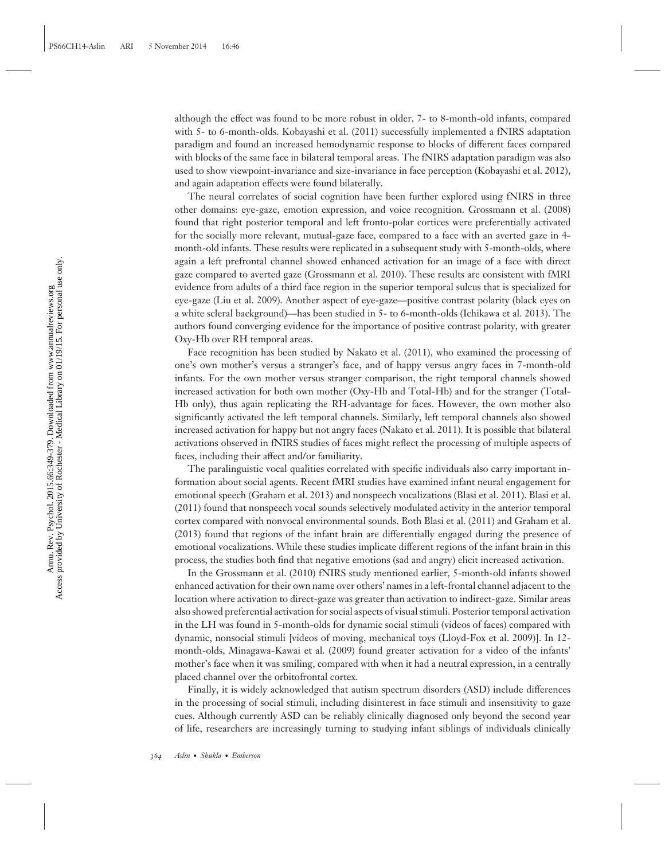although the effect was found to be more robust in older, 7- to 8-month-old infants, compared with 5- to 6-month-olds. Kobayashi et al. (2011) successfully implemented a fNIRS adaptation paradigm and found an increased hemodynamic response to blocks of different faces compared with blocks of the same face in bilateral temporal areas. The fNIRS adaptation paradigm was also used to show viewpoint-invariance and size-invariance in face perception (Kobayashi et al. 2012), and again adaptation effects were found bilaterally.

The neural correlates of social cognition have been further explored using fNIRS in three other domains: eye-gaze, emotion expression, and voice recognition. Grossmann et al. (2008) found that right posterior temporal and left fronto-polar cortices were preferentially activated for the socially more relevant, mutual-gaze face, compared to a face with an averted gaze in 4 month-old infants. These results were replicated in a subsequent study with 5-month-olds, where again a left prefrontal channel showed enhanced activation for an image of a face with direct gaze compared to averted gaze (Grossmann et al. 2010). These results are consistent with fMRI evidence from adults of a third face region in the superior temporal sulcus that is specialized for eye-gaze (Liu et al. 2009). Another aspect of eye-gaze—positive contrast polarity (black eyes on a white scleral background)—has been studied in 5- to 6-month-olds (Ichikawa et al. 2013). The authors found converging evidence for the importance of positive contrast polarity, with greater Oxy-Hb over RH temporal areas.

Face recognition has been studied by Nakato et al. (2011), who examined the processing of one's own mother's versus a stranger's face, and of happy versus angry faces in 7-month-old infants. For the own mother versus stranger comparison, the right temporal channels showed increased activation for both own mother (Oxy-Hb and Total-Hb) and for the stranger (Total-Hb only), thus again replicating the RH-advantage for faces. However, the own mother also significantly activated the left temporal channels. Similarly, left temporal channels also showed increased activation for happy but not angry faces (Nakato et al. 2011). It is possible that bilateral activations observed in fNIRS studies of faces might reflect the processing of multiple aspects of faces, including their affect and/or familiarity.

The paralinguistic vocal qualities correlated with specific individuals also carry important information about social agents. Recent fMRI studies have examined infant neural engagement for emotional speech (Graham et al. 2013) and nonspeech vocalizations (Blasi et al. 2011). Blasi et al. (2011) found that nonspeech vocal sounds selectively modulated activity in the anterior temporal cortex compared with nonvocal environmental sounds. Both Blasi et al. (2011) and Graham et al. (2013) found that regions of the infant brain are differentially engaged during the presence of emotional vocalizations. While these studies implicate different regions of the infant brain in this process, the studies both find that negative emotions (sad and angry) elicit increased activation.

In the Grossmann et al. (2010) fNIRS study mentioned earlier, 5-month-old infants showed enhanced activation for their own name over others' names in a left-frontal channel adjacent to the location where activation to direct-gaze was greater than activation to indirect-gaze. Similar areas also showed preferential activation for social aspects of visual stimuli. Posterior temporal activation in the LH was found in 5-month-olds for dynamic social stimuli (videos of faces) compared with dynamic, nonsocial stimuli [videos of moving, mechanical toys (Lloyd-Fox et al. 2009)]. In 12 month-olds, Minagawa-Kawai et al. (2009) found greater activation for a video of the infants' mother's face when it was smiling, compared with when it had a neutral expression, in a centrally placed channel over the orbitofrontal cortex.

Finally, it is widely acknowledged that autism spectrum disorders (ASD) include differences in the processing of social stimuli, including disinterest in face stimuli and insensitivity to gaze cues. Although currently ASD can be reliably clinically diagnosed only beyond the second year of life, researchers are increasingly turning to studying infant siblings of individuals clinically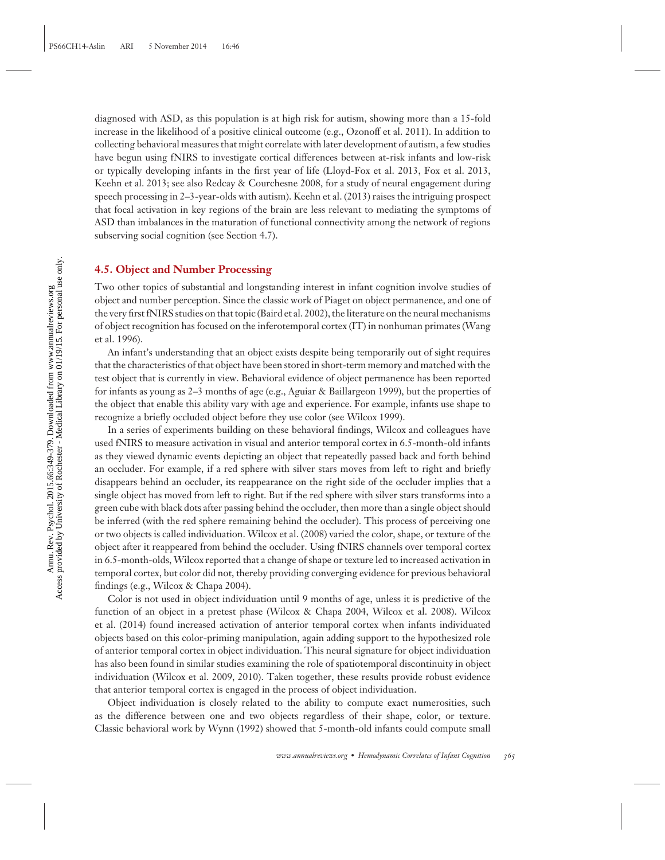diagnosed with ASD, as this population is at high risk for autism, showing more than a 15-fold increase in the likelihood of a positive clinical outcome (e.g., Ozonoff et al. 2011). In addition to collecting behavioral measures that might correlate with later development of autism, a few studies have begun using fNIRS to investigate cortical differences between at-risk infants and low-risk or typically developing infants in the first year of life (Lloyd-Fox et al. 2013, Fox et al. 2013, Keehn et al. 2013; see also Redcay & Courchesne 2008, for a study of neural engagement during speech processing in 2–3-year-olds with autism). Keehn et al. (2013) raises the intriguing prospect that focal activation in key regions of the brain are less relevant to mediating the symptoms of ASD than imbalances in the maturation of functional connectivity among the network of regions subserving social cognition (see Section 4.7).

#### **4.5. Object and Number Processing**

Two other topics of substantial and longstanding interest in infant cognition involve studies of object and number perception. Since the classic work of Piaget on object permanence, and one of the very first fNIRS studies on that topic (Baird et al. 2002), the literature on the neural mechanisms of object recognition has focused on the inferotemporal cortex (IT) in nonhuman primates (Wang et al. 1996).

An infant's understanding that an object exists despite being temporarily out of sight requires that the characteristics of that object have been stored in short-term memory and matched with the test object that is currently in view. Behavioral evidence of object permanence has been reported for infants as young as 2–3 months of age (e.g., Aguiar & Baillargeon 1999), but the properties of the object that enable this ability vary with age and experience. For example, infants use shape to recognize a briefly occluded object before they use color (see Wilcox 1999).

In a series of experiments building on these behavioral findings, Wilcox and colleagues have used fNIRS to measure activation in visual and anterior temporal cortex in 6.5-month-old infants as they viewed dynamic events depicting an object that repeatedly passed back and forth behind an occluder. For example, if a red sphere with silver stars moves from left to right and briefly disappears behind an occluder, its reappearance on the right side of the occluder implies that a single object has moved from left to right. But if the red sphere with silver stars transforms into a green cube with black dots after passing behind the occluder, then more than a single object should be inferred (with the red sphere remaining behind the occluder). This process of perceiving one or two objects is called individuation. Wilcox et al. (2008) varied the color, shape, or texture of the object after it reappeared from behind the occluder. Using fNIRS channels over temporal cortex in 6.5-month-olds, Wilcox reported that a change of shape or texture led to increased activation in temporal cortex, but color did not, thereby providing converging evidence for previous behavioral findings (e.g., Wilcox & Chapa 2004).

Color is not used in object individuation until 9 months of age, unless it is predictive of the function of an object in a pretest phase (Wilcox & Chapa 2004, Wilcox et al. 2008). Wilcox et al. (2014) found increased activation of anterior temporal cortex when infants individuated objects based on this color-priming manipulation, again adding support to the hypothesized role of anterior temporal cortex in object individuation. This neural signature for object individuation has also been found in similar studies examining the role of spatiotemporal discontinuity in object individuation (Wilcox et al. 2009, 2010). Taken together, these results provide robust evidence that anterior temporal cortex is engaged in the process of object individuation.

Object individuation is closely related to the ability to compute exact numerosities, such as the difference between one and two objects regardless of their shape, color, or texture. Classic behavioral work by Wynn (1992) showed that 5-month-old infants could compute small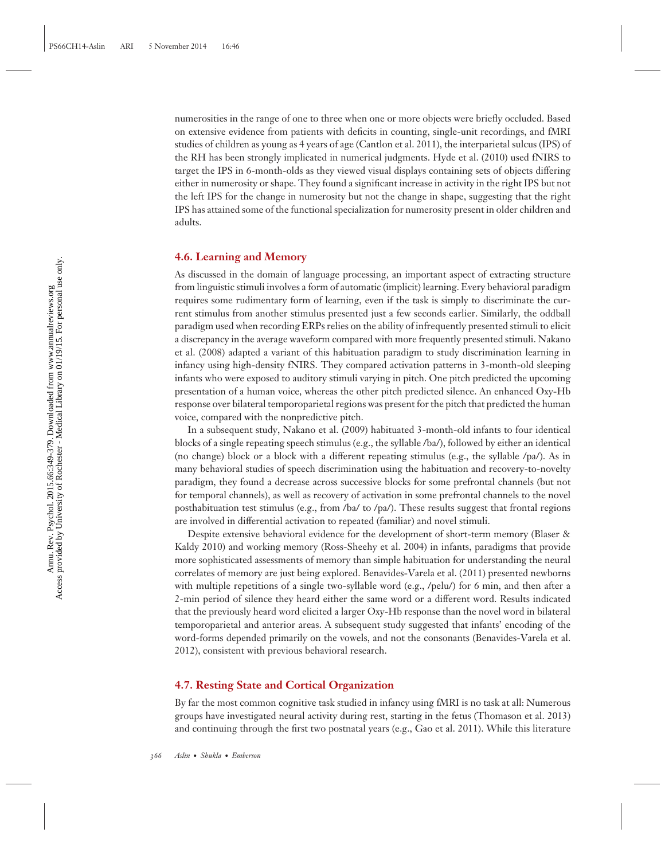numerosities in the range of one to three when one or more objects were briefly occluded. Based on extensive evidence from patients with deficits in counting, single-unit recordings, and fMRI studies of children as young as 4 years of age (Cantlon et al. 2011), the interparietal sulcus (IPS) of the RH has been strongly implicated in numerical judgments. Hyde et al. (2010) used fNIRS to target the IPS in 6-month-olds as they viewed visual displays containing sets of objects differing either in numerosity or shape. They found a significant increase in activity in the right IPS but not the left IPS for the change in numerosity but not the change in shape, suggesting that the right IPS has attained some of the functional specialization for numerosity present in older children and adults.

#### **4.6. Learning and Memory**

As discussed in the domain of language processing, an important aspect of extracting structure from linguistic stimuli involves a form of automatic (implicit) learning. Every behavioral paradigm requires some rudimentary form of learning, even if the task is simply to discriminate the current stimulus from another stimulus presented just a few seconds earlier. Similarly, the oddball paradigm used when recording ERPs relies on the ability of infrequently presented stimuli to elicit a discrepancy in the average waveform compared with more frequently presented stimuli. Nakano et al. (2008) adapted a variant of this habituation paradigm to study discrimination learning in infancy using high-density fNIRS. They compared activation patterns in 3-month-old sleeping infants who were exposed to auditory stimuli varying in pitch. One pitch predicted the upcoming presentation of a human voice, whereas the other pitch predicted silence. An enhanced Oxy-Hb response over bilateral temporoparietal regions was present for the pitch that predicted the human voice, compared with the nonpredictive pitch.

In a subsequent study, Nakano et al. (2009) habituated 3-month-old infants to four identical blocks of a single repeating speech stimulus (e.g., the syllable /ba/), followed by either an identical (no change) block or a block with a different repeating stimulus (e.g., the syllable /pa/). As in many behavioral studies of speech discrimination using the habituation and recovery-to-novelty paradigm, they found a decrease across successive blocks for some prefrontal channels (but not for temporal channels), as well as recovery of activation in some prefrontal channels to the novel posthabituation test stimulus (e.g., from /ba/ to /pa/). These results suggest that frontal regions are involved in differential activation to repeated (familiar) and novel stimuli.

Despite extensive behavioral evidence for the development of short-term memory (Blaser & Kaldy 2010) and working memory (Ross-Sheehy et al. 2004) in infants, paradigms that provide more sophisticated assessments of memory than simple habituation for understanding the neural correlates of memory are just being explored. Benavides-Varela et al. (2011) presented newborns with multiple repetitions of a single two-syllable word (e.g., /pelu/) for 6 min, and then after a 2-min period of silence they heard either the same word or a different word. Results indicated that the previously heard word elicited a larger Oxy-Hb response than the novel word in bilateral temporoparietal and anterior areas. A subsequent study suggested that infants' encoding of the word-forms depended primarily on the vowels, and not the consonants (Benavides-Varela et al. 2012), consistent with previous behavioral research.

#### **4.7. Resting State and Cortical Organization**

By far the most common cognitive task studied in infancy using fMRI is no task at all: Numerous groups have investigated neural activity during rest, starting in the fetus (Thomason et al. 2013) and continuing through the first two postnatal years (e.g., Gao et al. 2011). While this literature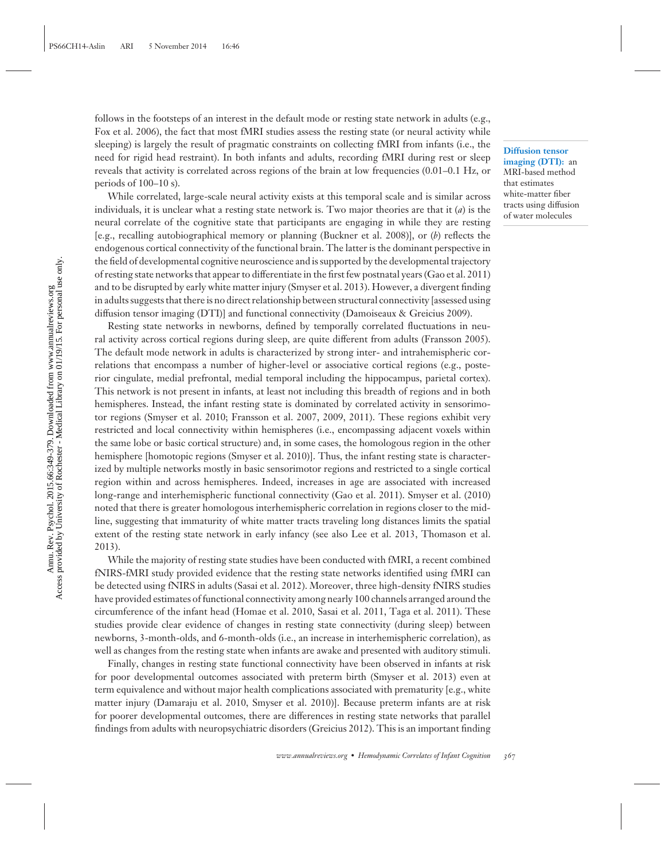follows in the footsteps of an interest in the default mode or resting state network in adults (e.g., Fox et al. 2006), the fact that most fMRI studies assess the resting state (or neural activity while sleeping) is largely the result of pragmatic constraints on collecting fMRI from infants (i.e., the need for rigid head restraint). In both infants and adults, recording fMRI during rest or sleep reveals that activity is correlated across regions of the brain at low frequencies (0.01–0.1 Hz, or periods of 100–10 s).

While correlated, large-scale neural activity exists at this temporal scale and is similar across individuals, it is unclear what a resting state network is. Two major theories are that it (*a*) is the neural correlate of the cognitive state that participants are engaging in while they are resting [e.g., recalling autobiographical memory or planning (Buckner et al. 2008)], or (*b*) reflects the endogenous cortical connectivity of the functional brain. The latter is the dominant perspective in the field of developmental cognitive neuroscience and is supported by the developmental trajectory of resting state networks that appear to differentiate in the first few postnatal years (Gao et al. 2011) and to be disrupted by early white matter injury (Smyser et al. 2013). However, a divergent finding in adults suggests that there is no direct relationship between structural connectivity [assessed using diffusion tensor imaging (DTI)] and functional connectivity (Damoiseaux & Greicius 2009).

Resting state networks in newborns, defined by temporally correlated fluctuations in neural activity across cortical regions during sleep, are quite different from adults (Fransson 2005). The default mode network in adults is characterized by strong inter- and intrahemispheric correlations that encompass a number of higher-level or associative cortical regions (e.g., posterior cingulate, medial prefrontal, medial temporal including the hippocampus, parietal cortex). This network is not present in infants, at least not including this breadth of regions and in both hemispheres. Instead, the infant resting state is dominated by correlated activity in sensorimotor regions (Smyser et al. 2010; Fransson et al. 2007, 2009, 2011). These regions exhibit very restricted and local connectivity within hemispheres (i.e., encompassing adjacent voxels within the same lobe or basic cortical structure) and, in some cases, the homologous region in the other hemisphere [homotopic regions (Smyser et al. 2010)]. Thus, the infant resting state is characterized by multiple networks mostly in basic sensorimotor regions and restricted to a single cortical region within and across hemispheres. Indeed, increases in age are associated with increased long-range and interhemispheric functional connectivity (Gao et al. 2011). Smyser et al. (2010) noted that there is greater homologous interhemispheric correlation in regions closer to the midline, suggesting that immaturity of white matter tracts traveling long distances limits the spatial extent of the resting state network in early infancy (see also Lee et al. 2013, Thomason et al. 2013).

While the majority of resting state studies have been conducted with fMRI, a recent combined fNIRS-fMRI study provided evidence that the resting state networks identified using fMRI can be detected using fNIRS in adults (Sasai et al. 2012). Moreover, three high-density fNIRS studies have provided estimates of functional connectivity among nearly 100 channels arranged around the circumference of the infant head (Homae et al. 2010, Sasai et al. 2011, Taga et al. 2011). These studies provide clear evidence of changes in resting state connectivity (during sleep) between newborns, 3-month-olds, and 6-month-olds (i.e., an increase in interhemispheric correlation), as well as changes from the resting state when infants are awake and presented with auditory stimuli.

Finally, changes in resting state functional connectivity have been observed in infants at risk for poor developmental outcomes associated with preterm birth (Smyser et al. 2013) even at term equivalence and without major health complications associated with prematurity [e.g., white matter injury (Damaraju et al. 2010, Smyser et al. 2010)]. Because preterm infants are at risk for poorer developmental outcomes, there are differences in resting state networks that parallel findings from adults with neuropsychiatric disorders (Greicius 2012). This is an important finding

**Diffusion tensor imaging (DTI):** an MRI-based method that estimates white-matter fiber tracts using diffusion of water molecules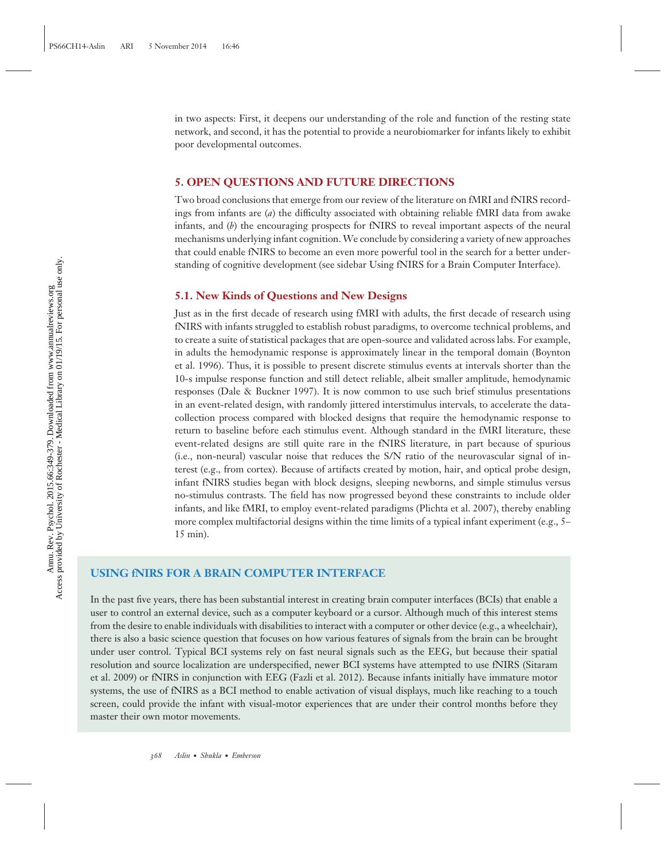in two aspects: First, it deepens our understanding of the role and function of the resting state network, and second, it has the potential to provide a neurobiomarker for infants likely to exhibit poor developmental outcomes.

# **5. OPEN QUESTIONS AND FUTURE DIRECTIONS**

Two broad conclusions that emerge from our review of the literature on fMRI and fNIRS recordings from infants are (*a*) the difficulty associated with obtaining reliable fMRI data from awake infants, and (*b*) the encouraging prospects for fNIRS to reveal important aspects of the neural mechanisms underlying infant cognition. We conclude by considering a variety of new approaches that could enable fNIRS to become an even more powerful tool in the search for a better understanding of cognitive development (see sidebar Using fNIRS for a Brain Computer Interface).

#### **5.1. New Kinds of Questions and New Designs**

Just as in the first decade of research using fMRI with adults, the first decade of research using fNIRS with infants struggled to establish robust paradigms, to overcome technical problems, and to create a suite of statistical packages that are open-source and validated across labs. For example, in adults the hemodynamic response is approximately linear in the temporal domain (Boynton et al. 1996). Thus, it is possible to present discrete stimulus events at intervals shorter than the 10-s impulse response function and still detect reliable, albeit smaller amplitude, hemodynamic responses (Dale & Buckner 1997). It is now common to use such brief stimulus presentations in an event-related design, with randomly jittered interstimulus intervals, to accelerate the datacollection process compared with blocked designs that require the hemodynamic response to return to baseline before each stimulus event. Although standard in the fMRI literature, these event-related designs are still quite rare in the fNIRS literature, in part because of spurious (i.e., non-neural) vascular noise that reduces the S/N ratio of the neurovascular signal of interest (e.g., from cortex). Because of artifacts created by motion, hair, and optical probe design, infant fNIRS studies began with block designs, sleeping newborns, and simple stimulus versus no-stimulus contrasts. The field has now progressed beyond these constraints to include older infants, and like fMRI, to employ event-related paradigms (Plichta et al. 2007), thereby enabling more complex multifactorial designs within the time limits of a typical infant experiment (e.g., 5– 15 min).

# **USING fNIRS FOR A BRAIN COMPUTER INTERFACE**

In the past five years, there has been substantial interest in creating brain computer interfaces (BCIs) that enable a user to control an external device, such as a computer keyboard or a cursor. Although much of this interest stems from the desire to enable individuals with disabilities to interact with a computer or other device (e.g., a wheelchair), there is also a basic science question that focuses on how various features of signals from the brain can be brought under user control. Typical BCI systems rely on fast neural signals such as the EEG, but because their spatial resolution and source localization are underspecified, newer BCI systems have attempted to use fNIRS (Sitaram et al. 2009) or fNIRS in conjunction with EEG (Fazli et al. 2012). Because infants initially have immature motor systems, the use of fNIRS as a BCI method to enable activation of visual displays, much like reaching to a touch screen, could provide the infant with visual-motor experiences that are under their control months before they master their own motor movements.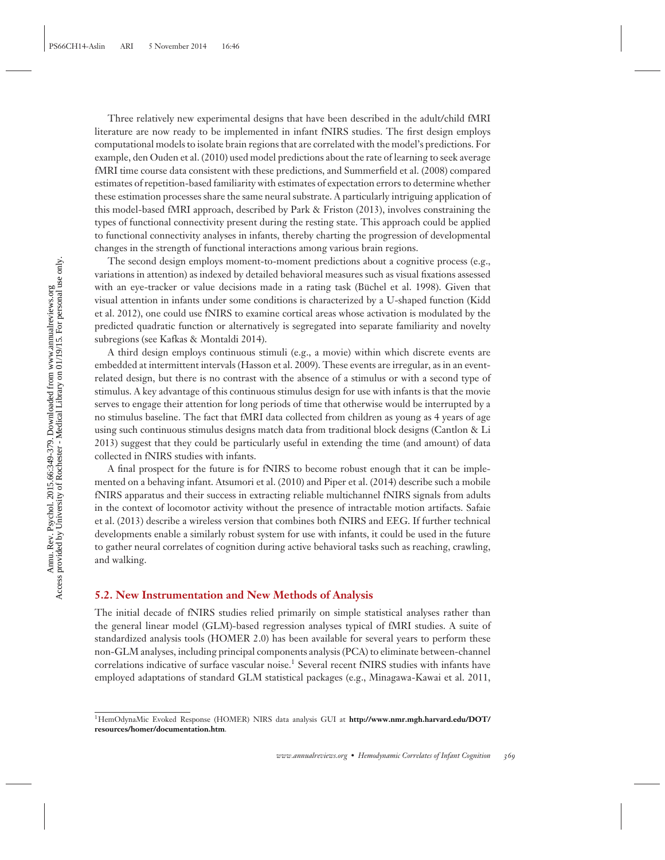Three relatively new experimental designs that have been described in the adult/child fMRI literature are now ready to be implemented in infant fNIRS studies. The first design employs computational models to isolate brain regions that are correlated with the model's predictions. For example, den Ouden et al. (2010) used model predictions about the rate of learning to seek average fMRI time course data consistent with these predictions, and Summerfield et al. (2008) compared estimates of repetition-based familiarity with estimates of expectation errors to determine whether these estimation processes share the same neural substrate. A particularly intriguing application of this model-based fMRI approach, described by Park & Friston (2013), involves constraining the types of functional connectivity present during the resting state. This approach could be applied to functional connectivity analyses in infants, thereby charting the progression of developmental changes in the strength of functional interactions among various brain regions.

The second design employs moment-to-moment predictions about a cognitive process (e.g., variations in attention) as indexed by detailed behavioral measures such as visual fixations assessed with an eye-tracker or value decisions made in a rating task (Büchel et al. 1998). Given that visual attention in infants under some conditions is characterized by a U-shaped function (Kidd et al. 2012), one could use fNIRS to examine cortical areas whose activation is modulated by the predicted quadratic function or alternatively is segregated into separate familiarity and novelty subregions (see Kafkas & Montaldi 2014).

A third design employs continuous stimuli (e.g., a movie) within which discrete events are embedded at intermittent intervals (Hasson et al. 2009). These events are irregular, as in an eventrelated design, but there is no contrast with the absence of a stimulus or with a second type of stimulus. A key advantage of this continuous stimulus design for use with infants is that the movie serves to engage their attention for long periods of time that otherwise would be interrupted by a no stimulus baseline. The fact that fMRI data collected from children as young as 4 years of age using such continuous stimulus designs match data from traditional block designs (Cantlon & Li 2013) suggest that they could be particularly useful in extending the time (and amount) of data collected in fNIRS studies with infants.

A final prospect for the future is for fNIRS to become robust enough that it can be implemented on a behaving infant. Atsumori et al. (2010) and Piper et al. (2014) describe such a mobile fNIRS apparatus and their success in extracting reliable multichannel fNIRS signals from adults in the context of locomotor activity without the presence of intractable motion artifacts. Safaie et al. (2013) describe a wireless version that combines both fNIRS and EEG. If further technical developments enable a similarly robust system for use with infants, it could be used in the future to gather neural correlates of cognition during active behavioral tasks such as reaching, crawling, and walking.

#### **5.2. New Instrumentation and New Methods of Analysis**

The initial decade of fNIRS studies relied primarily on simple statistical analyses rather than the general linear model (GLM)-based regression analyses typical of fMRI studies. A suite of standardized analysis tools (HOMER 2.0) has been available for several years to perform these non-GLM analyses, including principal components analysis (PCA) to eliminate between-channel correlations indicative of surface vascular noise.<sup>1</sup> Several recent fNIRS studies with infants have employed adaptations of standard GLM statistical packages (e.g., Minagawa-Kawai et al. 2011,

<sup>1</sup>HemOdynaMic Evoked Response (HOMER) NIRS data analysis GUI at **[http://www.nmr.mgh.harvard.edu/DOT/](http://www.nmr.mgh.harvard.edu/DOT/resources/homer/documentation.htm) [resources/homer/documentation.htm](http://www.nmr.mgh.harvard.edu/DOT/resources/homer/documentation.htm)**.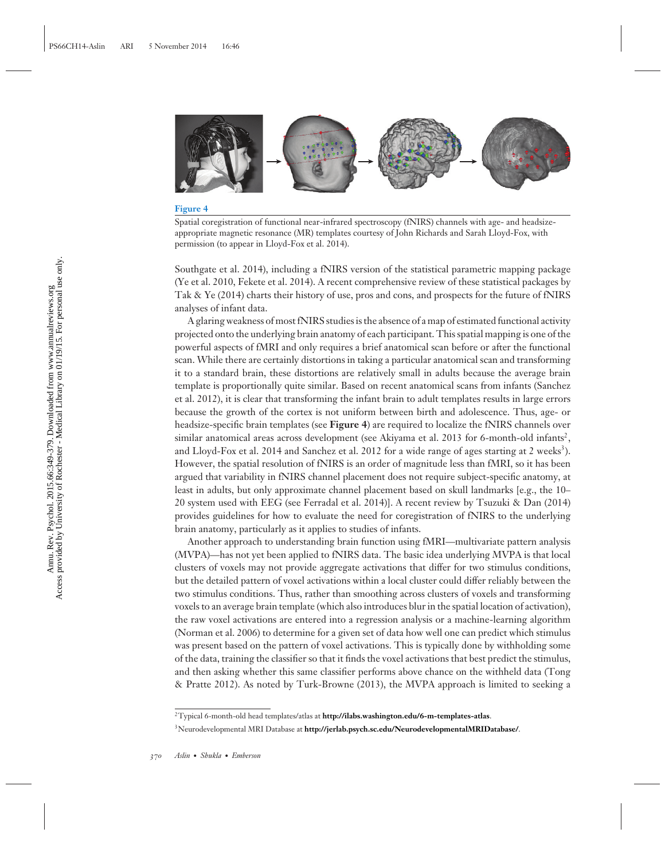

#### **Figure 4**

Spatial coregistration of functional near-infrared spectroscopy (fNIRS) channels with age- and headsizeappropriate magnetic resonance (MR) templates courtesy of John Richards and Sarah Lloyd-Fox, with permission (to appear in Lloyd-Fox et al. 2014).

Southgate et al. 2014), including a fNIRS version of the statistical parametric mapping package (Ye et al. 2010, Fekete et al. 2014). A recent comprehensive review of these statistical packages by Tak & Ye (2014) charts their history of use, pros and cons, and prospects for the future of fNIRS analyses of infant data.

A glaring weakness of most fNIRS studies is the absence of a map of estimated functional activity projected onto the underlying brain anatomy of each participant. This spatial mapping is one of the powerful aspects of fMRI and only requires a brief anatomical scan before or after the functional scan. While there are certainly distortions in taking a particular anatomical scan and transforming it to a standard brain, these distortions are relatively small in adults because the average brain template is proportionally quite similar. Based on recent anatomical scans from infants (Sanchez et al. 2012), it is clear that transforming the infant brain to adult templates results in large errors because the growth of the cortex is not uniform between birth and adolescence. Thus, age- or headsize-specific brain templates (see **Figure 4**) are required to localize the fNIRS channels over similar anatomical areas across development (see Akiyama et al. 2013 for 6-month-old infants<sup>2</sup>, and Lloyd-Fox et al. 2014 and Sanchez et al. 2012 for a wide range of ages starting at 2 weeks<sup>3</sup>). However, the spatial resolution of fNIRS is an order of magnitude less than fMRI, so it has been argued that variability in fNIRS channel placement does not require subject-specific anatomy, at least in adults, but only approximate channel placement based on skull landmarks [e.g., the 10– 20 system used with EEG (see Ferradal et al. 2014)]. A recent review by Tsuzuki & Dan (2014) provides guidelines for how to evaluate the need for coregistration of fNIRS to the underlying brain anatomy, particularly as it applies to studies of infants.

Another approach to understanding brain function using fMRI—multivariate pattern analysis (MVPA)—has not yet been applied to fNIRS data. The basic idea underlying MVPA is that local clusters of voxels may not provide aggregate activations that differ for two stimulus conditions, but the detailed pattern of voxel activations within a local cluster could differ reliably between the two stimulus conditions. Thus, rather than smoothing across clusters of voxels and transforming voxels to an average brain template (which also introduces blur in the spatial location of activation), the raw voxel activations are entered into a regression analysis or a machine-learning algorithm (Norman et al. 2006) to determine for a given set of data how well one can predict which stimulus was present based on the pattern of voxel activations. This is typically done by withholding some of the data, training the classifier so that it finds the voxel activations that best predict the stimulus, and then asking whether this same classifier performs above chance on the withheld data (Tong & Pratte 2012). As noted by Turk-Browne (2013), the MVPA approach is limited to seeking a

<sup>2</sup>Typical 6-month-old head templates/atlas at **<http://ilabs.washington.edu/6-m-templates-atlas>**.

<sup>3</sup>Neurodevelopmental MRI Database at **<http://jerlab.psych.sc.edu/NeurodevelopmentalMRIDatabase/>**.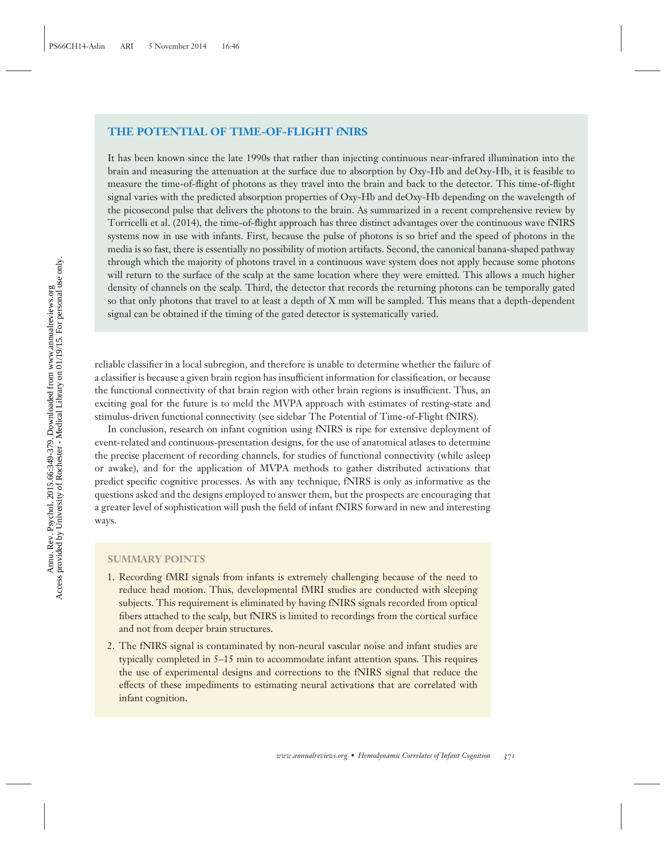# **THE POTENTIAL OF TIME-OF-FLIGHT fNIRS**

It has been known since the late 1990s that rather than injecting continuous near-infrared illumination into the brain and measuring the attenuation at the surface due to absorption by Oxy-Hb and deOxy-Hb, it is feasible to measure the time-of-flight of photons as they travel into the brain and back to the detector. This time-of-flight signal varies with the predicted absorption properties of Oxy-Hb and deOxy-Hb depending on the wavelength of the picosecond pulse that delivers the photons to the brain. As summarized in a recent comprehensive review by Torricelli et al. (2014), the time-of-flight approach has three distinct advantages over the continuous wave fNIRS systems now in use with infants. First, because the pulse of photons is so brief and the speed of photons in the media is so fast, there is essentially no possibility of motion artifacts. Second, the canonical banana-shaped pathway through which the majority of photons travel in a continuous wave system does not apply because some photons will return to the surface of the scalp at the same location where they were emitted. This allows a much higher density of channels on the scalp. Third, the detector that records the returning photons can be temporally gated so that only photons that travel to at least a depth of X mm will be sampled. This means that a depth-dependent signal can be obtained if the timing of the gated detector is systematically varied.

reliable classifier in a local subregion, and therefore is unable to determine whether the failure of a classifier is because a given brain region has insufficient information for classification, or because the functional connectivity of that brain region with other brain regions is insufficient. Thus, an exciting goal for the future is to meld the MVPA approach with estimates of resting-state and stimulus-driven functional connectivity (see sidebar The Potential of Time-of-Flight fNIRS).

In conclusion, research on infant cognition using fNIRS is ripe for extensive deployment of event-related and continuous-presentation designs, for the use of anatomical atlases to determine the precise placement of recording channels, for studies of functional connectivity (while asleep or awake), and for the application of MVPA methods to gather distributed activations that predict specific cognitive processes. As with any technique, fNIRS is only as informative as the questions asked and the designs employed to answer them, but the prospects are encouraging that a greater level of sophistication will push the field of infant fNIRS forward in new and interesting ways.

#### **SUMMARY POINTS**

- 1. Recording fMRI signals from infants is extremely challenging because of the need to reduce head motion. Thus, developmental fMRI studies are conducted with sleeping subjects. This requirement is eliminated by having fNIRS signals recorded from optical fibers attached to the scalp, but fNIRS is limited to recordings from the cortical surface and not from deeper brain structures.
- 2. The fNIRS signal is contaminated by non-neural vascular noise and infant studies are typically completed in 5–15 min to accommodate infant attention spans. This requires the use of experimental designs and corrections to the fNIRS signal that reduce the effects of these impediments to estimating neural activations that are correlated with infant cognition.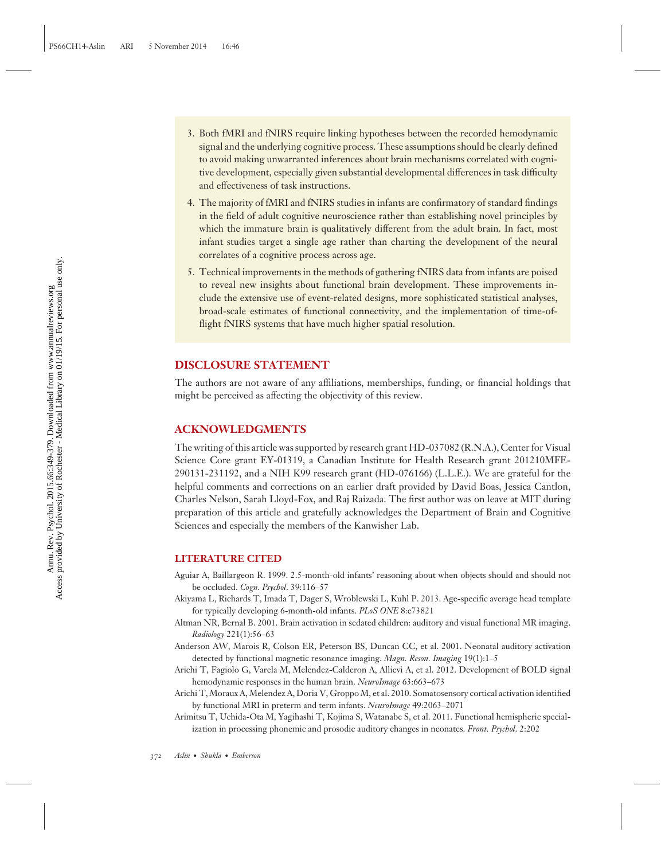- 3. Both fMRI and fNIRS require linking hypotheses between the recorded hemodynamic signal and the underlying cognitive process. These assumptions should be clearly defined to avoid making unwarranted inferences about brain mechanisms correlated with cognitive development, especially given substantial developmental differences in task difficulty and effectiveness of task instructions.
- 4. The majority of fMRI and fNIRS studies in infants are confirmatory of standard findings in the field of adult cognitive neuroscience rather than establishing novel principles by which the immature brain is qualitatively different from the adult brain. In fact, most infant studies target a single age rather than charting the development of the neural correlates of a cognitive process across age.
- 5. Technical improvements in the methods of gathering fNIRS data from infants are poised to reveal new insights about functional brain development. These improvements include the extensive use of event-related designs, more sophisticated statistical analyses, broad-scale estimates of functional connectivity, and the implementation of time-offlight fNIRS systems that have much higher spatial resolution.

# **DISCLOSURE STATEMENT**

The authors are not aware of any affiliations, memberships, funding, or financial holdings that might be perceived as affecting the objectivity of this review.

# **ACKNOWLEDGMENTS**

The writing of this article was supported by research grant HD-037082 (R.N.A.), Center for Visual Science Core grant EY-01319, a Canadian Institute for Health Research grant 201210MFE-290131-231192, and a NIH K99 research grant (HD-076166) (L.L.E.). We are grateful for the helpful comments and corrections on an earlier draft provided by David Boas, Jessica Cantlon, Charles Nelson, Sarah Lloyd-Fox, and Raj Raizada. The first author was on leave at MIT during preparation of this article and gratefully acknowledges the Department of Brain and Cognitive Sciences and especially the members of the Kanwisher Lab.

#### **LITERATURE CITED**

- Aguiar A, Baillargeon R. 1999. 2.5-month-old infants' reasoning about when objects should and should not be occluded. *Cogn. Psychol*. 39:116–57
- Akiyama L, Richards T, Imada T, Dager S, Wroblewski L, Kuhl P. 2013. Age-specific average head template for typically developing 6-month-old infants. *PLoS ONE* 8:e73821
- Altman NR, Bernal B. 2001. Brain activation in sedated children: auditory and visual functional MR imaging. *Radiology* 221(1):56–63
- Anderson AW, Marois R, Colson ER, Peterson BS, Duncan CC, et al. 2001. Neonatal auditory activation detected by functional magnetic resonance imaging. *Magn. Reson. Imaging* 19(1):1–5
- Arichi T, Fagiolo G, Varela M, Melendez-Calderon A, Allievi A, et al. 2012. Development of BOLD signal hemodynamic responses in the human brain. *NeuroImage* 63:663–673
- Arichi T, Moraux A, Melendez A, Doria V, Groppo M, et al. 2010. Somatosensory cortical activation identified by functional MRI in preterm and term infants. *NeuroImage* 49:2063–2071
- Arimitsu T, Uchida-Ota M, Yagihashi T, Kojima S, Watanabe S, et al. 2011. Functional hemispheric specialization in processing phonemic and prosodic auditory changes in neonates. *Front. Psychol*. 2:202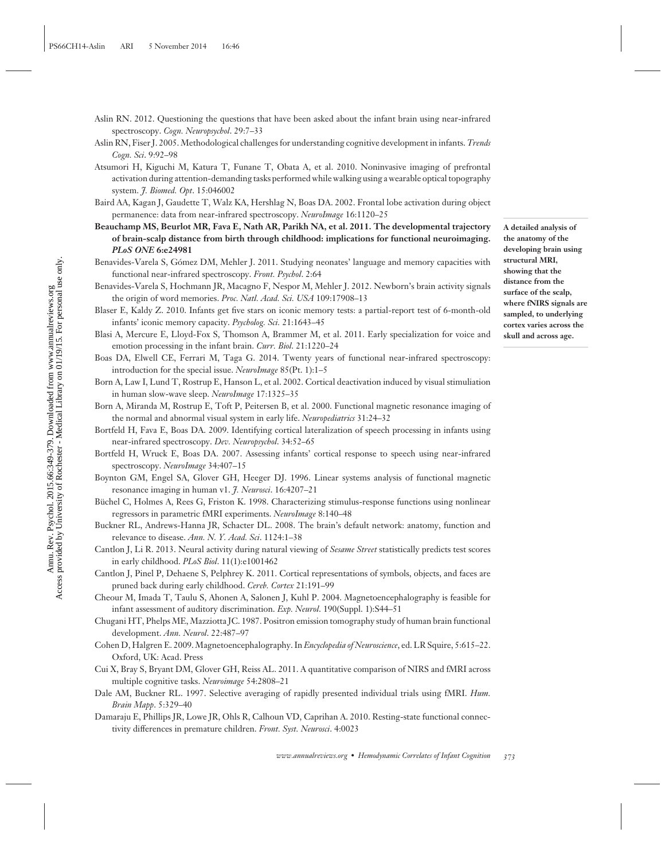- Aslin RN. 2012. Questioning the questions that have been asked about the infant brain using near-infrared spectroscopy. *Cogn. Neuropsychol*. 29:7–33
- Aslin RN, Fiser J. 2005. Methodological challenges for understanding cognitive development in infants. *Trends Cogn. Sci*. 9:92–98
- Atsumori H, Kiguchi M, Katura T, Funane T, Obata A, et al. 2010. Noninvasive imaging of prefrontal activation during attention-demanding tasks performed while walking using a wearable optical topography system. *J. Biomed. Opt*. 15:046002
- Baird AA, Kagan J, Gaudette T, Walz KA, Hershlag N, Boas DA. 2002. Frontal lobe activation during object permanence: data from near-infrared spectroscopy. *NeuroImage* 16:1120–25
- **Beauchamp MS, Beurlot MR, Fava E, Nath AR, Parikh NA, et al. 2011. The developmental trajectory of brain-scalp distance from birth through childhood: implications for functional neuroimaging.** *PLoS ONE* **6:e24981**
- Benavides-Varela S, Gómez DM, Mehler J. 2011. Studying neonates' language and memory capacities with functional near-infrared spectroscopy. *Front. Psychol*. 2:64
- Benavides-Varela S, Hochmann JR, Macagno F, Nespor M, Mehler J. 2012. Newborn's brain activity signals the origin of word memories. *Proc. Natl. Acad. Sci. USA* 109:17908–13
- Blaser E, Kaldy Z. 2010. Infants get five stars on iconic memory tests: a partial-report test of 6-month-old infants' iconic memory capacity. *Psycholog. Sci.* 21:1643–45
- Blasi A, Mercure E, Lloyd-Fox S, Thomson A, Brammer M, et al. 2011. Early specialization for voice and emotion processing in the infant brain. *Curr. Biol*. 21:1220–24
- Boas DA, Elwell CE, Ferrari M, Taga G. 2014. Twenty years of functional near-infrared spectroscopy: introduction for the special issue. *NeuroImage* 85(Pt. 1):1–5
- Born A, Law I, Lund T, Rostrup E, Hanson L, et al. 2002. Cortical deactivation induced by visual stimuliation in human slow-wave sleep. *NeuroImage* 17:1325–35
- Born A, Miranda M, Rostrup E, Toft P, Peitersen B, et al. 2000. Functional magnetic resonance imaging of the normal and abnormal visual system in early life. *Neuropediatrics* 31:24–32
- Bortfeld H, Fava E, Boas DA. 2009. Identifying cortical lateralization of speech processing in infants using near-infrared spectroscopy. *Dev. Neuropsychol*. 34:52–65
- Bortfeld H, Wruck E, Boas DA. 2007. Assessing infants' cortical response to speech using near-infrared spectroscopy. *NeuroImage* 34:407–15
- Boynton GM, Engel SA, Glover GH, Heeger DJ. 1996. Linear systems analysis of functional magnetic resonance imaging in human v1. *J. Neurosci*. 16:4207–21
- Büchel C, Holmes A, Rees G, Friston K. 1998. Characterizing stimulus-response functions using nonlinear regressors in parametric fMRI experiments. *NeuroImage* 8:140–48
- Buckner RL, Andrews-Hanna JR, Schacter DL. 2008. The brain's default network: anatomy, function and relevance to disease. *Ann. N. Y. Acad. Sci*. 1124:1–38
- Cantlon J, Li R. 2013. Neural activity during natural viewing of *Sesame Street* statistically predicts test scores in early childhood. *PLoS Biol*. 11(1):e1001462
- Cantlon J, Pinel P, Dehaene S, Pelphrey K. 2011. Cortical representations of symbols, objects, and faces are pruned back during early childhood. *Cereb. Cortex* 21:191–99
- Cheour M, Imada T, Taulu S, Ahonen A, Salonen J, Kuhl P. 2004. Magnetoencephalography is feasible for infant assessment of auditory discrimination. *Exp. Neurol*. 190(Suppl. 1):S44–51
- Chugani HT, Phelps ME, Mazziotta JC. 1987. Positron emission tomography study of human brain functional development. *Ann. Neurol*. 22:487–97
- Cohen D, Halgren E. 2009. Magnetoencephalography. In *Encyclopedia of Neuroscience*, ed. LR Squire, 5:615–22. Oxford, UK: Acad. Press
- Cui X, Bray S, Bryant DM, Glover GH, Reiss AL. 2011. A quantitative comparison of NIRS and fMRI across multiple cognitive tasks. *Neuroimage* 54:2808–21
- Dale AM, Buckner RL. 1997. Selective averaging of rapidly presented individual trials using fMRI. *Hum. Brain Mapp*. 5:329–40
- Damaraju E, Phillips JR, Lowe JR, Ohls R, Calhoun VD, Caprihan A. 2010. Resting-state functional connectivity differences in premature children. *Front. Syst. Neurosci*. 4:0023

**A detailed analysis of the anatomy of the developing brain using structural MRI, showing that the distance from the surface of the scalp, where fNIRS signals are sampled, to underlying cortex varies across the skull and across age.**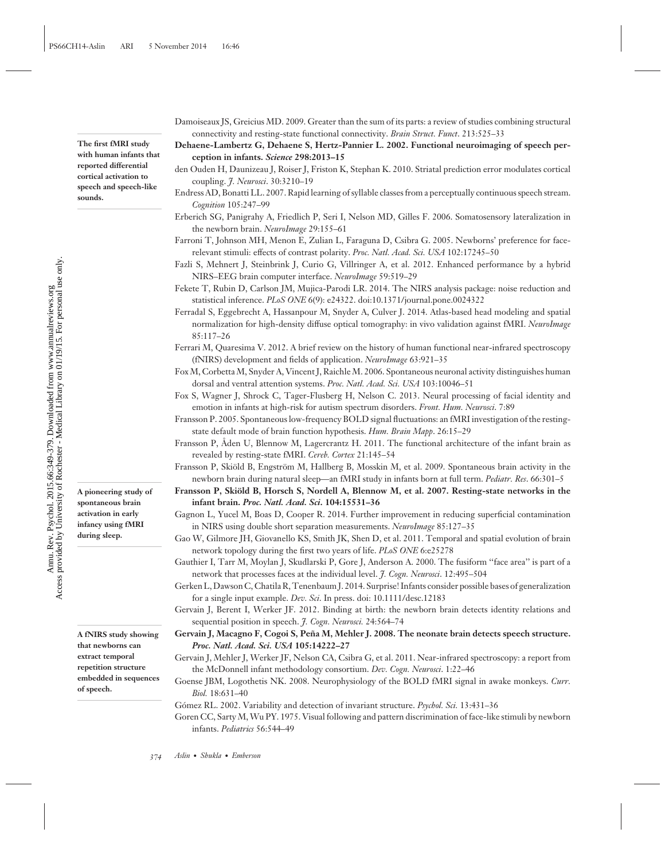**The first fMRI study with human infants that reported differential cortical activation to speech and speech-like sounds.**

**A pioneering study of spontaneous brain activation in early infancy using fMRI during sleep.**

**A fNIRS study showing that newborns can extract temporal repetition structure embedded in sequences of speech.**

- Damoiseaux JS, Greicius MD. 2009. Greater than the sum of its parts: a review of studies combining structural connectivity and resting-state functional connectivity. *Brain Struct. Funct*. 213:525–33
- **Dehaene-Lambertz G, Dehaene S, Hertz-Pannier L. 2002. Functional neuroimaging of speech perception in infants.** *Science* **298:2013–15**
- den Ouden H, Daunizeau J, Roiser J, Friston K, Stephan K. 2010. Striatal prediction error modulates cortical coupling. *J. Neurosci*. 30:3210–19
- Endress AD, Bonatti LL. 2007. Rapid learning of syllable classes from a perceptually continuous speech stream. *Cognition* 105:247–99
- Erberich SG, Panigrahy A, Friedlich P, Seri I, Nelson MD, Gilles F. 2006. Somatosensory lateralization in the newborn brain. *NeuroImage* 29:155–61
- Farroni T, Johnson MH, Menon E, Zulian L, Faraguna D, Csibra G. 2005. Newborns' preference for facerelevant stimuli: effects of contrast polarity. *Proc. Natl. Acad. Sci. USA* 102:17245–50
- Fazli S, Mehnert J, Steinbrink J, Curio G, Villringer A, et al. 2012. Enhanced performance by a hybrid NIRS–EEG brain computer interface. *NeuroImage* 59:519–29
- Fekete T, Rubin D, Carlson JM, Mujica-Parodi LR. 2014. The NIRS analysis package: noise reduction and statistical inference. *PLoS ONE* 6(9): e24322. doi:10.1371/journal.pone.0024322
- Ferradal S, Eggebrecht A, Hassanpour M, Snyder A, Culver J. 2014. Atlas-based head modeling and spatial normalization for high-density diffuse optical tomography: in vivo validation against fMRI. *NeuroImage* 85:117–26
- Ferrari M, Quaresima V. 2012. A brief review on the history of human functional near-infrared spectroscopy (fNIRS) development and fields of application. *NeuroImage* 63:921–35
- Fox M, Corbetta M, Snyder A, Vincent J, Raichle M. 2006. Spontaneous neuronal activity distinguishes human dorsal and ventral attention systems. *Proc. Natl. Acad. Sci. USA* 103:10046–51
- Fox S, Wagner J, Shrock C, Tager-Flusberg H, Nelson C. 2013. Neural processing of facial identity and emotion in infants at high-risk for autism spectrum disorders. *Front. Hum. Neurosci*. 7:89
- Fransson P. 2005. Spontaneous low-frequency BOLD signal fluctuations: an fMRI investigation of the restingstate default mode of brain function hypothesis. *Hum. Brain Mapp*. 26:15–29
- Fransson P, Åden U, Blennow M, Lagercrantz H. 2011. The functional architecture of the infant brain as revealed by resting-state fMRI. *Cereb. Cortex* 21:145–54
- Fransson P, Skiöld B, Engström M, Hallberg B, Mosskin M, et al. 2009. Spontaneous brain activity in the newborn brain during natural sleep—an fMRI study in infants born at full term. *Pediatr. Res*. 66:301–5
- **Fransson P, Skiold B, Horsch S, Nordell A, Blennow M, et al. 2007. Resting-state networks in the ¨ infant brain.** *Proc. Natl. Acad. Sci***. 104:15531–36**
- Gagnon L, Yucel M, Boas D, Cooper R. 2014. Further improvement in reducing superficial contamination in NIRS using double short separation measurements. *NeuroImage* 85:127–35
- Gao W, Gilmore JH, Giovanello KS, Smith JK, Shen D, et al. 2011. Temporal and spatial evolution of brain network topology during the first two years of life. *PLoS ONE* 6:e25278
- Gauthier I, Tarr M, Moylan J, Skudlarski P, Gore J, Anderson A. 2000. The fusiform ''face area'' is part of a network that processes faces at the individual level. *J. Cogn. Neurosci*. 12:495–504
- Gerken L, Dawson C, Chatila R, Tenenbaum J. 2014. Surprise! Infants consider possible bases of generalization for a single input example. *Dev. Sci*. In press. doi: 10.1111/desc.12183
- Gervain J, Berent I, Werker JF. 2012. Binding at birth: the newborn brain detects identity relations and sequential position in speech. *J. Cogn. Neurosci.* 24:564–74
- **Gervain J, Macagno F, Cogoi S, Pena M, Mehler J. 2008. The neonate brain detects speech structure. ˜** *Proc. Natl. Acad. Sci. USA* **105:14222–27**
- Gervain J, Mehler J, Werker JF, Nelson CA, Csibra G, et al. 2011. Near-infrared spectroscopy: a report from the McDonnell infant methodology consortium. *Dev. Cogn. Neurosci*. 1:22–46
- Goense JBM, Logothetis NK. 2008. Neurophysiology of the BOLD fMRI signal in awake monkeys. *Curr. Biol.* 18:631–40
- Gómez RL. 2002. Variability and detection of invariant structure. *Psychol. Sci.* 13:431–36
- Goren CC, Sarty M, Wu PY. 1975. Visual following and pattern discrimination of face-like stimuli by newborn infants. *Pediatrics* 56:544–49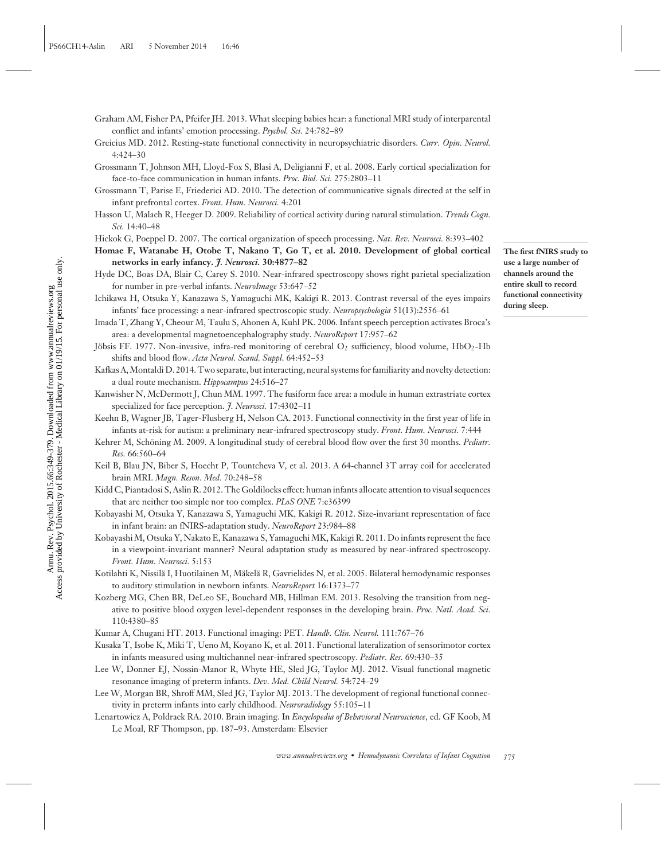- Graham AM, Fisher PA, Pfeifer JH. 2013. What sleeping babies hear: a functional MRI study of interparental conflict and infants' emotion processing. *Psychol. Sci.* 24:782–89
- Greicius MD. 2012. Resting-state functional connectivity in neuropsychiatric disorders. *Curr. Opin. Neurol.* 4:424–30
- Grossmann T, Johnson MH, Lloyd-Fox S, Blasi A, Deligianni F, et al. 2008. Early cortical specialization for face-to-face communication in human infants. *Proc. Biol. Sci.* 275:2803–11
- Grossmann T, Parise E, Friederici AD. 2010. The detection of communicative signals directed at the self in infant prefrontal cortex. *Front. Hum. Neurosci.* 4:201
- Hasson U, Malach R, Heeger D. 2009. Reliability of cortical activity during natural stimulation. *Trends Cogn. Sci.* 14:40–48

Hickok G, Poeppel D. 2007. The cortical organization of speech processing. *Nat. Rev. Neurosci.* 8:393–402

- **Homae F, Watanabe H, Otobe T, Nakano T, Go T, et al. 2010. Development of global cortical networks in early infancy.** *J. Neurosci.* **30:4877–82**
- Hyde DC, Boas DA, Blair C, Carey S. 2010. Near-infrared spectroscopy shows right parietal specialization for number in pre-verbal infants. *NeuroImage* 53:647–52
- Ichikawa H, Otsuka Y, Kanazawa S, Yamaguchi MK, Kakigi R. 2013. Contrast reversal of the eyes impairs infants' face processing: a near-infrared spectroscopic study. *Neuropsychologia* 51(13):2556–61
- Imada T, Zhang Y, Cheour M, Taulu S, Ahonen A, Kuhl PK. 2006. Infant speech perception activates Broca's area: a developmental magnetoencephalography study. *NeuroReport* 17:957–62
- Jöbsis FF. 1977. Non-invasive, infra-red monitoring of cerebral O<sub>2</sub> sufficiency, blood volume, HbO<sub>2</sub>-Hb shifts and blood flow. *Acta Neurol. Scand. Suppl*. 64:452–53
- Kafkas A, Montaldi D. 2014. Two separate, but interacting, neural systems for familiarity and novelty detection: a dual route mechanism. *Hippocampus* 24:516–27
- Kanwisher N, McDermott J, Chun MM. 1997. The fusiform face area: a module in human extrastriate cortex specialized for face perception. *J. Neurosci.* 17:4302–11
- Keehn B, Wagner JB, Tager-Flusberg H, Nelson CA. 2013. Functional connectivity in the first year of life in infants at-risk for autism: a preliminary near-infrared spectroscopy study. *Front. Hum. Neurosci.* 7:444
- Kehrer M, Schöning M. 2009. A longitudinal study of cerebral blood flow over the first 30 months. Pediatr. *Res.* 66:560–64
- Keil B, Blau JN, Biber S, Hoecht P, Tountcheva V, et al. 2013. A 64-channel 3T array coil for accelerated brain MRI. *Magn. Reson. Med.* 70:248–58
- Kidd C, Piantadosi S, Aslin R. 2012. The Goldilocks effect: human infants allocate attention to visual sequences that are neither too simple nor too complex. *PLoS ONE* 7:e36399
- Kobayashi M, Otsuka Y, Kanazawa S, Yamaguchi MK, Kakigi R. 2012. Size-invariant representation of face in infant brain: an fNIRS-adaptation study. *NeuroReport* 23:984–88
- Kobayashi M, Otsuka Y, Nakato E, Kanazawa S, Yamaguchi MK, Kakigi R. 2011. Do infants represent the face in a viewpoint-invariant manner? Neural adaptation study as measured by near-infrared spectroscopy. *Front. Hum. Neurosci.* 5:153
- Kotilahti K, Nissilä I, Huotilainen M, Mäkelä R, Gavrielides N, et al. 2005. Bilateral hemodynamic responses to auditory stimulation in newborn infants. *NeuroReport* 16:1373–77
- Kozberg MG, Chen BR, DeLeo SE, Bouchard MB, Hillman EM. 2013. Resolving the transition from negative to positive blood oxygen level-dependent responses in the developing brain. *Proc. Natl. Acad. Sci.* 110:4380–85
- Kumar A, Chugani HT. 2013. Functional imaging: PET. *Handb. Clin. Neurol.* 111:767–76
- Kusaka T, Isobe K, Miki T, Ueno M, Koyano K, et al. 2011. Functional lateralization of sensorimotor cortex in infants measured using multichannel near-infrared spectroscopy. *Pediatr. Res.* 69:430–35
- Lee W, Donner EJ, Nossin-Manor R, Whyte HE, Sled JG, Taylor MJ. 2012. Visual functional magnetic resonance imaging of preterm infants. *Dev. Med. Child Neurol.* 54:724–29
- Lee W, Morgan BR, Shroff MM, Sled JG, Taylor MJ. 2013. The development of regional functional connectivity in preterm infants into early childhood. *Neuroradiology* 55:105–11
- Lenartowicz A, Poldrack RA. 2010. Brain imaging. In *Encyclopedia of Behavioral Neuroscience*, ed. GF Koob, M Le Moal, RF Thompson, pp. 187–93. Amsterdam: Elsevier

**The first fNIRS study to use a large number of channels around the entire skull to record functional connectivity during sleep.**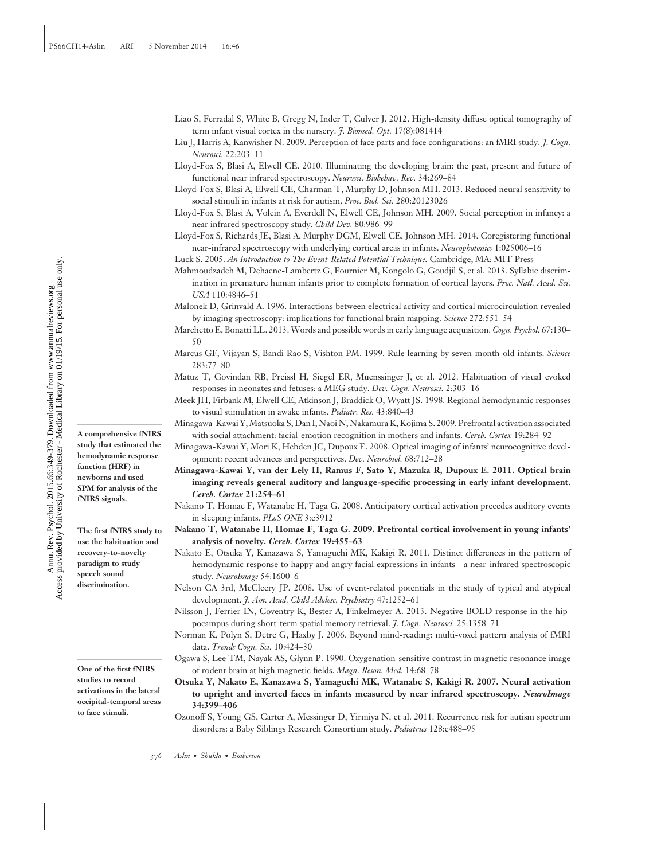Liao S, Ferradal S, White B, Gregg N, Inder T, Culver J. 2012. High-density diffuse optical tomography of term infant visual cortex in the nursery. *J. Biomed. Opt.* 17(8):081414

Liu J, Harris A, Kanwisher N. 2009. Perception of face parts and face configurations: an fMRI study. *J. Cogn. Neurosci.* 22:203–11

Lloyd-Fox S, Blasi A, Elwell CE. 2010. Illuminating the developing brain: the past, present and future of functional near infrared spectroscopy. *Neurosci. Biobehav. Rev.* 34:269–84

- Lloyd-Fox S, Blasi A, Elwell CE, Charman T, Murphy D, Johnson MH. 2013. Reduced neural sensitivity to social stimuli in infants at risk for autism. *Proc. Biol. Sci.* 280:20123026
- Lloyd-Fox S, Blasi A, Volein A, Everdell N, Elwell CE, Johnson MH. 2009. Social perception in infancy: a near infrared spectroscopy study. *Child Dev.* 80:986–99

Lloyd-Fox S, Richards JE, Blasi A, Murphy DGM, Elwell CE, Johnson MH. 2014. Coregistering functional near-infrared spectroscopy with underlying cortical areas in infants. *Neurophotonics* 1:025006–16

Luck S. 2005. *An Introduction to The Event-Related Potential Technique.* Cambridge, MA: MIT Press

- Mahmoudzadeh M, Dehaene-Lambertz G, Fournier M, Kongolo G, Goudjil S, et al. 2013. Syllabic discrimination in premature human infants prior to complete formation of cortical layers. *Proc. Natl. Acad. Sci. USA* 110:4846–51
- Malonek D, Grinvald A. 1996. Interactions between electrical activity and cortical microcirculation revealed by imaging spectroscopy: implications for functional brain mapping. *Science* 272:551–54
- Marchetto E, Bonatti LL. 2013. Words and possible words in early language acquisition. *Cogn. Psychol.* 67:130– 50
- Marcus GF, Vijayan S, Bandi Rao S, Vishton PM. 1999. Rule learning by seven-month-old infants. *Science* 283:77–80
- Matuz T, Govindan RB, Preissl H, Siegel ER, Muenssinger J, et al. 2012. Habituation of visual evoked responses in neonates and fetuses: a MEG study. *Dev. Cogn. Neurosci.* 2:303–16
- Meek JH, Firbank M, Elwell CE, Atkinson J, Braddick O, Wyatt JS. 1998. Regional hemodynamic responses to visual stimulation in awake infants. *Pediatr. Res.* 43:840–43
- Minagawa-Kawai Y, Matsuoka S, Dan I, Naoi N, Nakamura K, Kojima S. 2009. Prefrontal activation associated with social attachment: facial-emotion recognition in mothers and infants. *Cereb. Cortex* 19:284–92
- Minagawa-Kawai Y, Mori K, Hebden JC, Dupoux E. 2008. Optical imaging of infants' neurocognitive development: recent advances and perspectives. *Dev. Neurobiol.* 68:712–28
- **Minagawa-Kawai Y, van der Lely H, Ramus F, Sato Y, Mazuka R, Dupoux E. 2011. Optical brain imaging reveals general auditory and language-specific processing in early infant development.** *Cereb. Cortex* **21:254–61**
- Nakano T, Homae F, Watanabe H, Taga G. 2008. Anticipatory cortical activation precedes auditory events in sleeping infants. *PLoS ONE* 3:e3912
- **Nakano T, Watanabe H, Homae F, Taga G. 2009. Prefrontal cortical involvement in young infants' analysis of novelty.** *Cereb. Cortex* **19:455–63**
- Nakato E, Otsuka Y, Kanazawa S, Yamaguchi MK, Kakigi R. 2011. Distinct differences in the pattern of hemodynamic response to happy and angry facial expressions in infants—a near-infrared spectroscopic study. *NeuroImage* 54:1600–6
- Nelson CA 3rd, McCleery JP. 2008. Use of event-related potentials in the study of typical and atypical development. *J. Am. Acad. Child Adolesc. Psychiatry* 47:1252–61
- Nilsson J, Ferrier IN, Coventry K, Bester A, Finkelmeyer A. 2013. Negative BOLD response in the hippocampus during short-term spatial memory retrieval. *J. Cogn. Neurosci.* 25:1358–71
- Norman K, Polyn S, Detre G, Haxby J. 2006. Beyond mind-reading: multi-voxel pattern analysis of fMRI data. *Trends Cogn. Sci.* 10:424–30
- Ogawa S, Lee TM, Nayak AS, Glynn P. 1990. Oxygenation-sensitive contrast in magnetic resonance image **One of the first fNIRS** of rodent brain at high magnetic fields. *Magn. Reson. Med.* 14:68–78
	- **Otsuka Y, Nakato E, Kanazawa S, Yamaguchi MK, Watanabe S, Kakigi R. 2007. Neural activation to upright and inverted faces in infants measured by near infrared spectroscopy.** *NeuroImage* **34:399–406**
	- Ozonoff S, Young GS, Carter A, Messinger D, Yirmiya N, et al. 2011. Recurrence risk for autism spectrum disorders: a Baby Siblings Research Consortium study. *Pediatrics* 128:e488–95

**studies to record activations in the lateral occipital-temporal areas**

**to face stimuli.**

**A comprehensive fNIRS study that estimated the hemodynamic response function (HRF) in newborns and used SPM for analysis of the fNIRS signals.**

**The first fNIRS study to use the habituation and recovery-to-novelty paradigm to study speech sound discrimination.**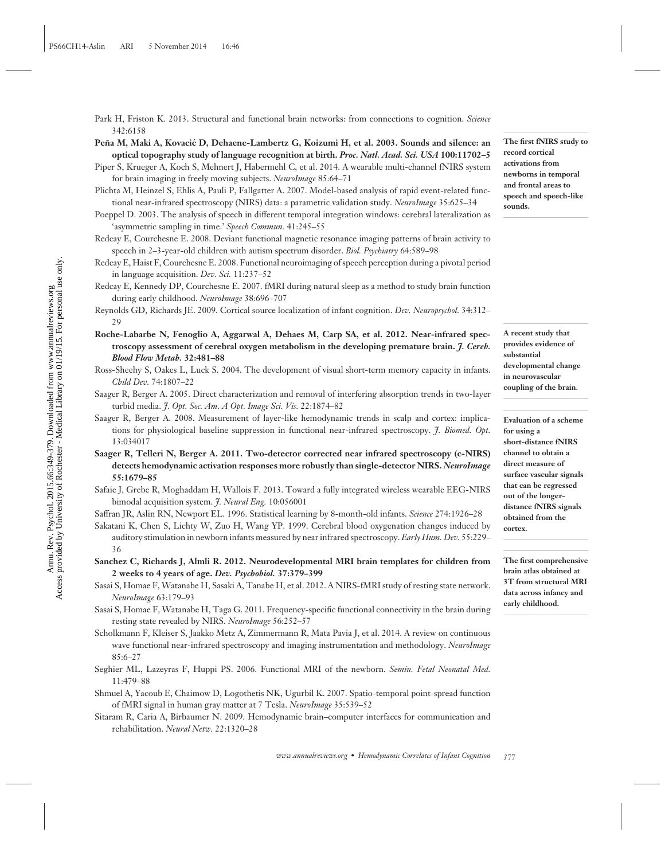Annu. Rev. Psychol. 2015.66:349-379. Downloaded from www.amualreviews.org<br>Access provided by University of Rochester - Medical Library on 01/19/15. For personal use only. Access provided by University of Rochester - Medical Library on 01/19/15. For personal use only.Annu. Rev. Psychol. 2015.66:349-379. Downloaded from www.annualreviews.org

- Park H, Friston K. 2013. Structural and functional brain networks: from connections to cognition. *Science* 342:6158
- **Pena M, Maki A, Kovaci ˜ c D, Dehaene-Lambertz G, Koizumi H, et al. 2003. Sounds and silence: an ´ optical topography study of language recognition at birth.** *Proc. Natl. Acad. Sci. USA* **100:11702–5**
- Piper S, Krueger A, Koch S, Mehnert J, Habermehl C, et al. 2014. A wearable multi-channel fNIRS system for brain imaging in freely moving subjects. *NeuroImage* 85:64–71
- Plichta M, Heinzel S, Ehlis A, Pauli P, Fallgatter A. 2007. Model-based analysis of rapid event-related functional near-infrared spectroscopy (NIRS) data: a parametric validation study. *NeuroImage* 35:625–34
- Poeppel D. 2003. The analysis of speech in different temporal integration windows: cerebral lateralization as 'asymmetric sampling in time.' *Speech Commun.* 41:245–55
- Redcay E, Courchesne E. 2008. Deviant functional magnetic resonance imaging patterns of brain activity to speech in 2–3-year-old children with autism spectrum disorder. *Biol. Psychiatry* 64:589–98
- Redcay E, Haist F, Courchesne E. 2008. Functional neuroimaging of speech perception during a pivotal period in language acquisition. *Dev. Sci.* 11:237–52
- Redcay E, Kennedy DP, Courchesne E. 2007. fMRI during natural sleep as a method to study brain function during early childhood. *NeuroImage* 38:696–707
- Reynolds GD, Richards JE. 2009. Cortical source localization of infant cognition. *Dev. Neuropsychol.* 34:312– 29
- **Roche-Labarbe N, Fenoglio A, Aggarwal A, Dehaes M, Carp SA, et al. 2012. Near-infrared spectroscopy assessment of cerebral oxygen metabolism in the developing premature brain.** *J. Cereb. Blood Flow Metab.* **32:481–88**
- Ross-Sheehy S, Oakes L, Luck S. 2004. The development of visual short-term memory capacity in infants. *Child Dev.* 74:1807–22
- Saager R, Berger A. 2005. Direct characterization and removal of interfering absorption trends in two-layer turbid media. *J. Opt. Soc. Am. A Opt. Image Sci. Vis.* 22:1874–82
- Saager R, Berger A. 2008. Measurement of layer-like hemodynamic trends in scalp and cortex: implications for physiological baseline suppression in functional near-infrared spectroscopy. *J. Biomed. Opt.* 13:034017
- **Saager R, Telleri N, Berger A. 2011. Two-detector corrected near infrared spectroscopy (c-NIRS) detects hemodynamic activation responses more robustly than single-detector NIRS.** *NeuroImage* **55:1679–85**
- Safaie J, Grebe R, Moghaddam H, Wallois F. 2013. Toward a fully integrated wireless wearable EEG-NIRS bimodal acquisition system. *J. Neural Eng.* 10:056001
- Saffran JR, Aslin RN, Newport EL. 1996. Statistical learning by 8-month-old infants. *Science* 274:1926–28
- Sakatani K, Chen S, Lichty W, Zuo H, Wang YP. 1999. Cerebral blood oxygenation changes induced by auditory stimulation in newborn infants measured by near infrared spectroscopy. *Early Hum. Dev.* 55:229– 36
- **Sanchez C, Richards J, Almli R. 2012. Neurodevelopmental MRI brain templates for children from 2 weeks to 4 years of age.** *Dev. Psychobiol.* **37:379–399**
- Sasai S, Homae F, Watanabe H, Sasaki A, Tanabe H, et al. 2012. A NIRS-fMRI study of resting state network. *NeuroImage* 63:179–93
- Sasai S, Homae F, Watanabe H, Taga G. 2011. Frequency-specific functional connectivity in the brain during resting state revealed by NIRS. *NeuroImage* 56:252–57
- Scholkmann F, Kleiser S, Jaakko Metz A, Zimmermann R, Mata Pavia J, et al. 2014. A review on continuous wave functional near-infrared spectroscopy and imaging instrumentation and methodology. *NeuroImage* 85:6–27
- Seghier ML, Lazeyras F, Huppi PS. 2006. Functional MRI of the newborn. *Semin. Fetal Neonatal Med.* 11:479–88
- Shmuel A, Yacoub E, Chaimow D, Logothetis NK, Ugurbil K. 2007. Spatio-temporal point-spread function of fMRI signal in human gray matter at 7 Tesla. *NeuroImage* 35:539–52
- Sitaram R, Caria A, Birbaumer N. 2009. Hemodynamic brain–computer interfaces for communication and rehabilitation. *Neural Netw.* 22:1320–28

**The first fNIRS study to record cortical activations from newborns in temporal and frontal areas to speech and speech-like sounds.**

**A recent study that provides evidence of substantial developmental change in neurovascular coupling of the brain.**

**Evaluation of a scheme for using a short-distance fNIRS channel to obtain a direct measure of surface vascular signals that can be regressed out of the longerdistance fNIRS signals obtained from the cortex.**

**The first comprehensive brain atlas obtained at 3T from structural MRI data across infancy and early childhood.**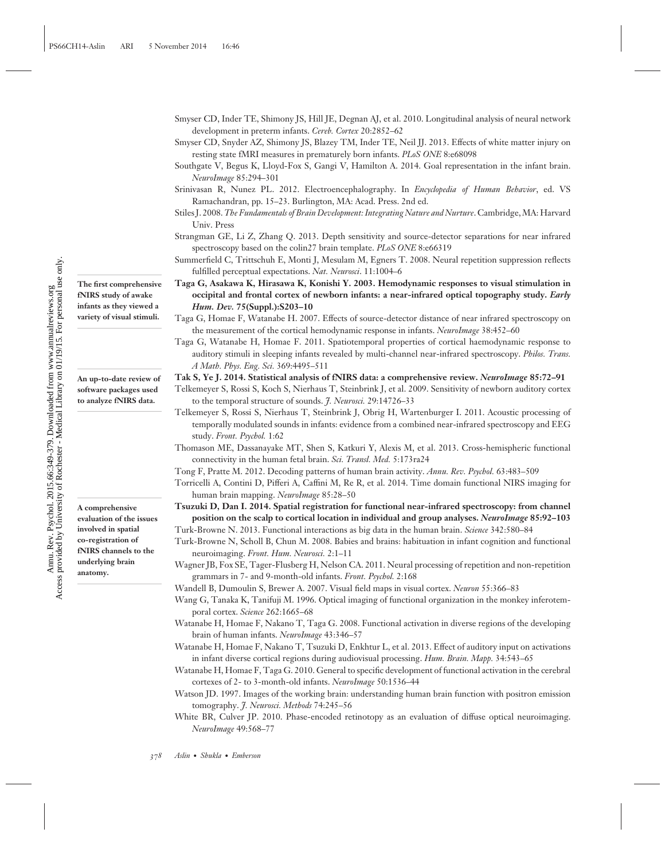**The first comprehensive**

**fNIRS study of awake infants as they viewed a variety of visual stimuli.**

**An up-to-date review of software packages used to analyze fNIRS data.**

**A comprehensive evaluation of the issues involved in spatial co-registration of fNIRS channels to the underlying brain anatomy.**

- Smyser CD, Inder TE, Shimony JS, Hill JE, Degnan AJ, et al. 2010. Longitudinal analysis of neural network development in preterm infants. *Cereb. Cortex* 20:2852–62
- Smyser CD, Snyder AZ, Shimony JS, Blazey TM, Inder TE, Neil JJ. 2013. Effects of white matter injury on resting state fMRI measures in prematurely born infants. *PLoS ONE* 8:e68098
- Southgate V, Begus K, Lloyd-Fox S, Gangi V, Hamilton A. 2014. Goal representation in the infant brain. *NeuroImage* 85:294–301
- Srinivasan R, Nunez PL. 2012. Electroencephalography. In *Encyclopedia of Human Behavior*, ed. VS Ramachandran, pp. 15–23. Burlington, MA: Acad. Press. 2nd ed.
- Stiles J. 2008.*The Fundamentals of Brain Development: Integrating Nature and Nurture*. Cambridge, MA: Harvard Univ. Press
- Strangman GE, Li Z, Zhang Q. 2013. Depth sensitivity and source-detector separations for near infrared spectroscopy based on the colin27 brain template. *PLoS ONE* 8:e66319
- Summerfield C, Trittschuh E, Monti J, Mesulam M, Egners T. 2008. Neural repetition suppression reflects fulfilled perceptual expectations. *Nat. Neurosci*. 11:1004–6
- **Taga G, Asakawa K, Hirasawa K, Konishi Y. 2003. Hemodynamic responses to visual stimulation in occipital and frontal cortex of newborn infants: a near-infrared optical topography study.** *Early Hum. Dev.* **75(Suppl.):S203–10**
- Taga G, Homae F, Watanabe H. 2007. Effects of source-detector distance of near infrared spectroscopy on the measurement of the cortical hemodynamic response in infants. *NeuroImage* 38:452–60
- Taga G, Watanabe H, Homae F. 2011. Spatiotemporal properties of cortical haemodynamic response to auditory stimuli in sleeping infants revealed by multi-channel near-infrared spectroscopy. *Philos. Trans. A Math. Phys. Eng. Sci.* 369:4495–511

#### **Tak S, Ye J. 2014. Statistical analysis of fNIRS data: a comprehensive review.** *NeuroImage* **85:72–91**

- Telkemeyer S, Rossi S, Koch S, Nierhaus T, Steinbrink J, et al. 2009. Sensitivity of newborn auditory cortex to the temporal structure of sounds. *J. Neurosci.* 29:14726–33
- Telkemeyer S, Rossi S, Nierhaus T, Steinbrink J, Obrig H, Wartenburger I. 2011. Acoustic processing of temporally modulated sounds in infants: evidence from a combined near-infrared spectroscopy and EEG study. *Front. Psychol.* 1:62
- Thomason ME, Dassanayake MT, Shen S, Katkuri Y, Alexis M, et al. 2013. Cross-hemispheric functional connectivity in the human fetal brain. *Sci. Transl. Med.* 5:173ra24
- Tong F, Pratte M. 2012. Decoding patterns of human brain activity. *Annu. Rev. Psychol.* 63:483–509
- Torricelli A, Contini D, Pifferi A, Caffini M, Re R, et al. 2014. Time domain functional NIRS imaging for human brain mapping. *NeuroImage* 85:28–50
- **Tsuzuki D, Dan I. 2014. Spatial registration for functional near-infrared spectroscopy: from channel position on the scalp to cortical location in individual and group analyses.** *NeuroImage* **85:92–103** Turk-Browne N. 2013. Functional interactions as big data in the human brain. *Science* 342:580–84
- Turk-Browne N, Scholl B, Chun M. 2008. Babies and brains: habituation in infant cognition and functional neuroimaging. *Front. Hum. Neurosci.* 2:1–11
- Wagner JB, Fox SE, Tager-Flusberg H, Nelson CA. 2011. Neural processing of repetition and non-repetition grammars in 7- and 9-month-old infants. *Front. Psychol.* 2:168
- Wandell B, Dumoulin S, Brewer A. 2007. Visual field maps in visual cortex. *Neuron* 55:366–83
- Wang G, Tanaka K, Tanifuji M. 1996. Optical imaging of functional organization in the monkey inferotemporal cortex. *Science* 262:1665–68
- Watanabe H, Homae F, Nakano T, Taga G. 2008. Functional activation in diverse regions of the developing brain of human infants. *NeuroImage* 43:346–57
- Watanabe H, Homae F, Nakano T, Tsuzuki D, Enkhtur L, et al. 2013. Effect of auditory input on activations in infant diverse cortical regions during audiovisual processing. *Hum. Brain. Mapp.* 34:543–65
- Watanabe H, Homae F, Taga G. 2010. General to specific development of functional activation in the cerebral cortexes of 2- to 3-month-old infants. *NeuroImage* 50:1536–44
- Watson JD. 1997. Images of the working brain: understanding human brain function with positron emission tomography. *J. Neurosci. Methods* 74:245–56
- White BR, Culver JP. 2010. Phase-encoded retinotopy as an evaluation of diffuse optical neuroimaging. *NeuroImage* 49:568–77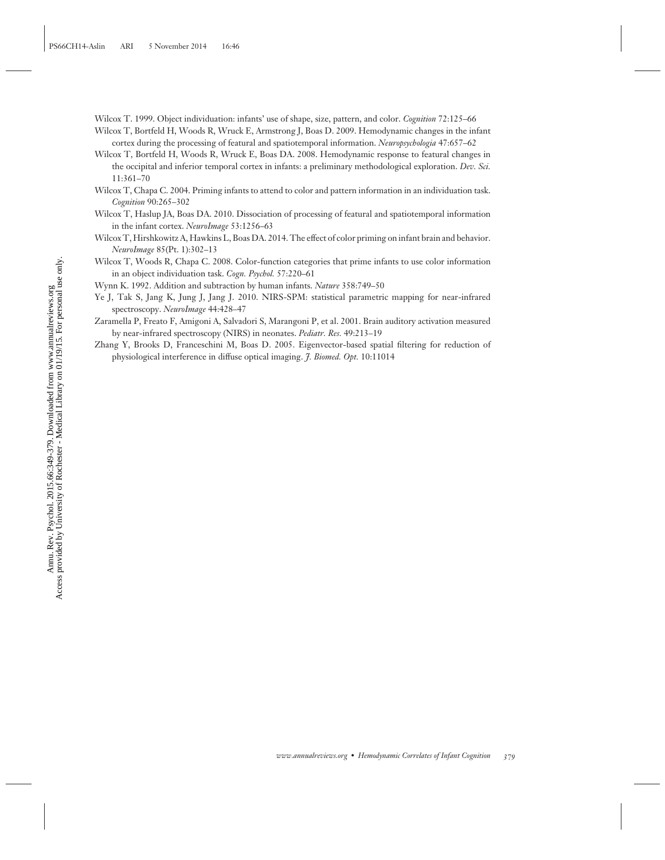- Wilcox T. 1999. Object individuation: infants' use of shape, size, pattern, and color. *Cognition* 72:125–66
- Wilcox T, Bortfeld H, Woods R, Wruck E, Armstrong J, Boas D. 2009. Hemodynamic changes in the infant cortex during the processing of featural and spatiotemporal information. *Neuropsychologia* 47:657–62
- Wilcox T, Bortfeld H, Woods R, Wruck E, Boas DA. 2008. Hemodynamic response to featural changes in the occipital and inferior temporal cortex in infants: a preliminary methodological exploration. *Dev. Sci.* 11:361–70
- Wilcox T, Chapa C. 2004. Priming infants to attend to color and pattern information in an individuation task. *Cognition* 90:265–302
- Wilcox T, Haslup JA, Boas DA. 2010. Dissociation of processing of featural and spatiotemporal information in the infant cortex. *NeuroImage* 53:1256–63
- Wilcox T, Hirshkowitz A, Hawkins L, Boas DA. 2014. The effect of color priming on infant brain and behavior. *NeuroImage* 85(Pt. 1):302–13
- Wilcox T, Woods R, Chapa C. 2008. Color-function categories that prime infants to use color information in an object individuation task. *Cogn. Psychol.* 57:220–61
- Wynn K. 1992. Addition and subtraction by human infants. *Nature* 358:749–50
- Ye J, Tak S, Jang K, Jung J, Jang J. 2010. NIRS-SPM: statistical parametric mapping for near-infrared spectroscopy. *NeuroImage* 44:428–47
- Zaramella P, Freato F, Amigoni A, Salvadori S, Marangoni P, et al. 2001. Brain auditory activation measured by near-infrared spectroscopy (NIRS) in neonates. *Pediatr. Res.* 49:213–19
- Zhang Y, Brooks D, Franceschini M, Boas D. 2005. Eigenvector-based spatial filtering for reduction of physiological interference in diffuse optical imaging. *J. Biomed. Opt.* 10:11014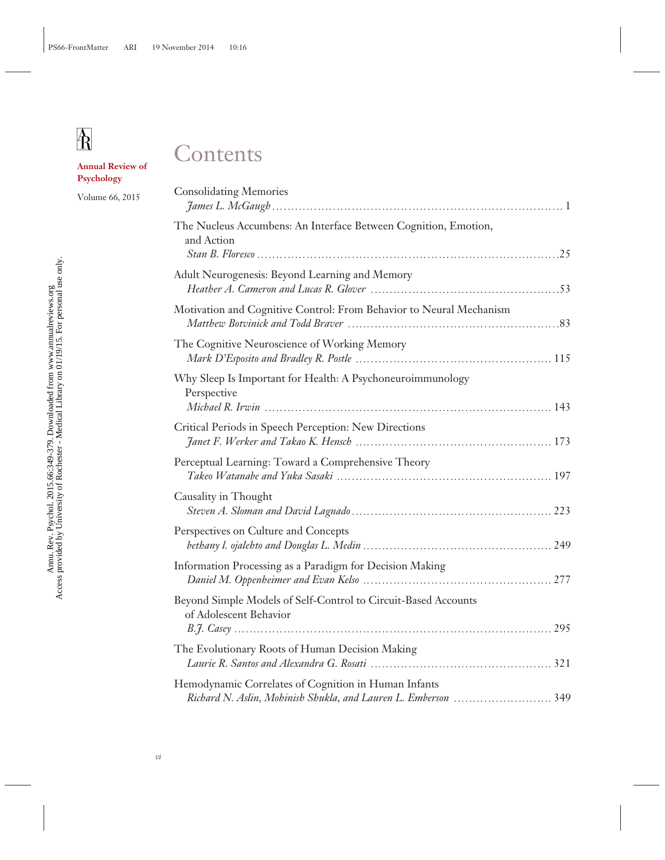# $\overline{\text{R}}$

# **Annual Review of Psychology**

Volume 66, 2015

# Contents

| <b>Consolidating Memories</b>                                                                                          |
|------------------------------------------------------------------------------------------------------------------------|
| The Nucleus Accumbens: An Interface Between Cognition, Emotion,<br>and Action                                          |
| Adult Neurogenesis: Beyond Learning and Memory                                                                         |
| Motivation and Cognitive Control: From Behavior to Neural Mechanism                                                    |
| The Cognitive Neuroscience of Working Memory                                                                           |
| Why Sleep Is Important for Health: A Psychoneuroimmunology<br>Perspective                                              |
| Critical Periods in Speech Perception: New Directions                                                                  |
| Perceptual Learning: Toward a Comprehensive Theory                                                                     |
| Causality in Thought                                                                                                   |
| Perspectives on Culture and Concepts                                                                                   |
| Information Processing as a Paradigm for Decision Making                                                               |
| Beyond Simple Models of Self-Control to Circuit-Based Accounts<br>of Adolescent Behavior                               |
| The Evolutionary Roots of Human Decision Making                                                                        |
| Hemodynamic Correlates of Cognition in Human Infants<br>Richard N. Aslin, Mohinish Shukla, and Lauren L. Emberson  349 |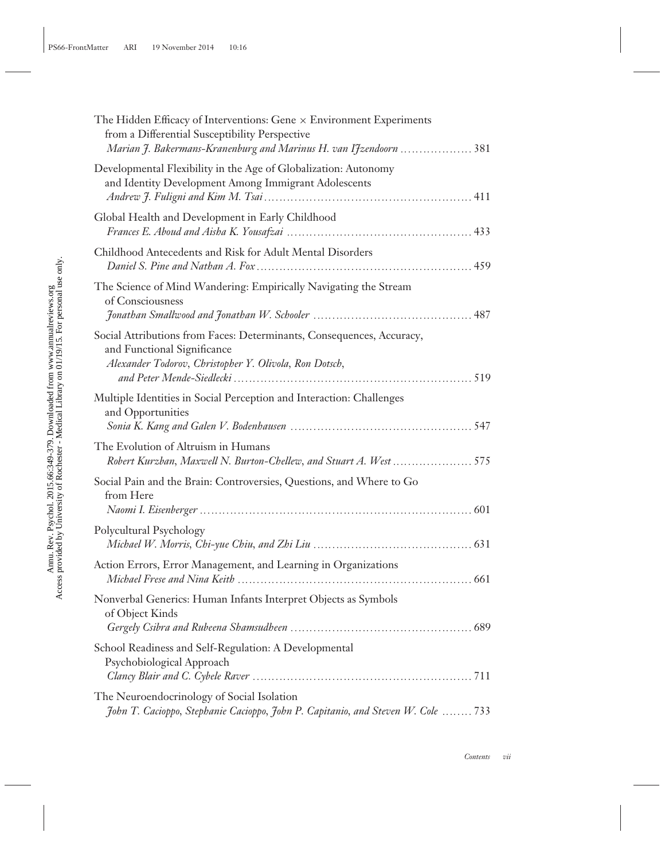| The Hidden Efficacy of Interventions: Gene $\times$ Environment Experiments<br>from a Differential Susceptibility Perspective<br>Marian J. Bakermans-Kranenburg and Marinus H. van IJzendoorn  381 |
|----------------------------------------------------------------------------------------------------------------------------------------------------------------------------------------------------|
| Developmental Flexibility in the Age of Globalization: Autonomy<br>and Identity Development Among Immigrant Adolescents                                                                            |
| Global Health and Development in Early Childhood                                                                                                                                                   |
| Childhood Antecedents and Risk for Adult Mental Disorders                                                                                                                                          |
| The Science of Mind Wandering: Empirically Navigating the Stream<br>of Consciousness                                                                                                               |
|                                                                                                                                                                                                    |
| Social Attributions from Faces: Determinants, Consequences, Accuracy,<br>and Functional Significance<br>Alexander Todorov, Christopher Y. Olivola, Ron Dotsch,                                     |
|                                                                                                                                                                                                    |
| Multiple Identities in Social Perception and Interaction: Challenges<br>and Opportunities                                                                                                          |
| The Evolution of Altruism in Humans<br>Robert Kurzban, Maxwell N. Burton-Chellew, and Stuart A. West  575                                                                                          |
| Social Pain and the Brain: Controversies, Questions, and Where to Go<br>from Here                                                                                                                  |
| Polycultural Psychology                                                                                                                                                                            |
| Action Errors, Error Management, and Learning in Organizations                                                                                                                                     |
| Nonverbal Generics: Human Infants Interpret Objects as Symbols<br>of Object Kinds                                                                                                                  |
| School Readiness and Self-Regulation: A Developmental<br>Psychobiological Approach                                                                                                                 |
| The Neuroendocrinology of Social Isolation<br>John T. Cacioppo, Stephanie Cacioppo, John P. Capitanio, and Steven W. Cole  733                                                                     |